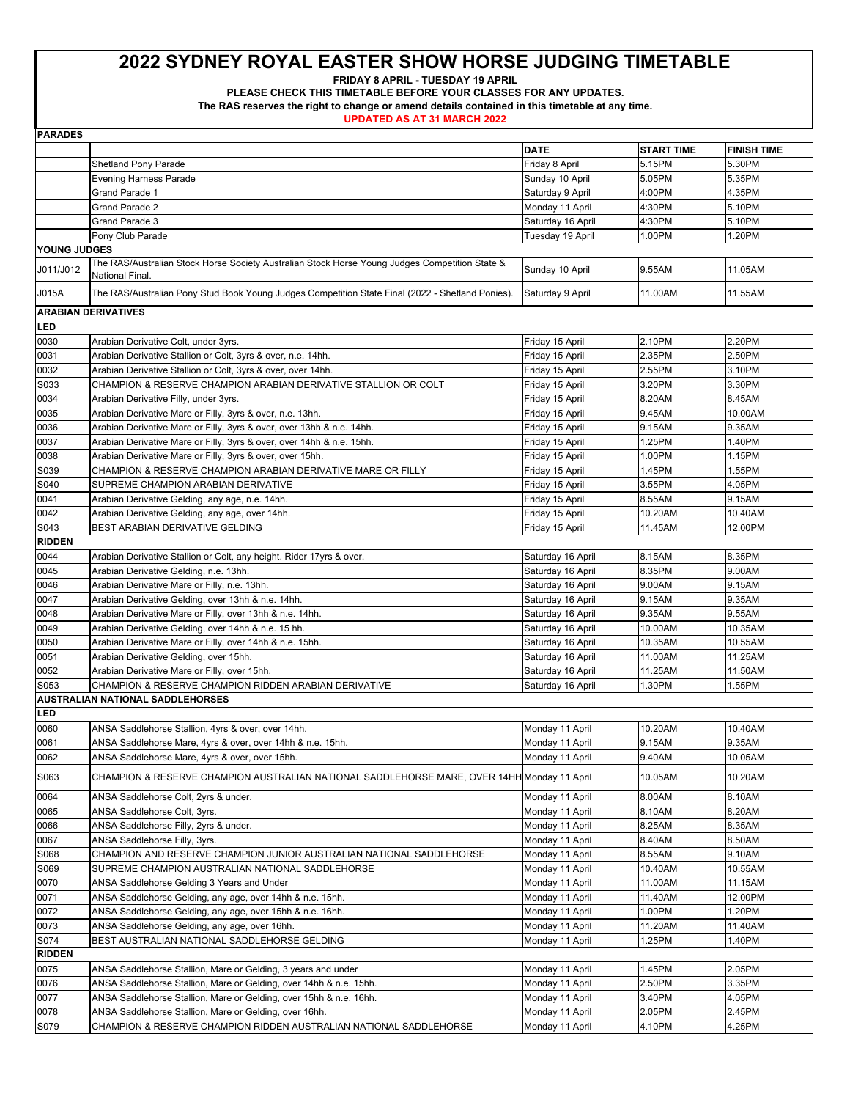**FRIDAY 8 APRIL - TUESDAY 19 APRIL** 

**PLEASE CHECK THIS TIMETABLE BEFORE YOUR CLASSES FOR ANY UPDATES.** 

**The RAS reserves the right to change or amend details contained in this timetable at any time.** 

| <b>DATE</b><br><b>START TIME</b><br><b>FINISH TIME</b><br>5.15PM<br>5.30PM<br><b>Shetland Pony Parade</b><br>Friday 8 April<br>5.35PM<br><b>Evening Harness Parade</b><br>Sunday 10 April<br>5.05PM<br>4.35PM<br><b>Grand Parade 1</b><br>Saturday 9 April<br>4:00PM<br>Grand Parade 2<br>4:30PM<br>5.10PM<br>Monday 11 April<br>Grand Parade 3<br>4:30PM<br>5.10PM<br>Saturday 16 April<br>Pony Club Parade<br>1.20PM<br>Tuesday 19 April<br>1.00PM<br>YOUNG JUDGES<br>The RAS/Australian Stock Horse Society Australian Stock Horse Young Judges Competition State &<br>11.05AM<br>J011/J012<br>Sunday 10 April<br>9.55AM<br>National Final.<br>J015A<br>The RAS/Australian Pony Stud Book Young Judges Competition State Final (2022 - Shetland Ponies).<br>Saturday 9 April<br>11.00AM<br>11.55AM<br><b>ARABIAN DERIVATIVES</b><br>LED<br>0030<br>Arabian Derivative Colt, under 3yrs.<br>Friday 15 April<br>2.10PM<br>2.20PM<br>2.35PM<br>0031<br>Arabian Derivative Stallion or Colt, 3yrs & over, n.e. 14hh.<br>2.50PM<br>Friday 15 April<br>2.55PM<br>3.10PM<br>0032<br>Arabian Derivative Stallion or Colt, 3yrs & over, over 14hh.<br>Friday 15 April<br>S033<br>CHAMPION & RESERVE CHAMPION ARABIAN DERIVATIVE STALLION OR COLT<br>3.20PM<br>3.30PM<br>Friday 15 April<br>0034<br>8.20AM<br>8.45AM<br>Arabian Derivative Filly, under 3yrs.<br>Friday 15 April<br>0035<br>Arabian Derivative Mare or Filly, 3yrs & over, n.e. 13hh.<br>9.45AM<br>10.00AM<br>Friday 15 April<br>0036<br>Arabian Derivative Mare or Filly, 3yrs & over, over 13hh & n.e. 14hh.<br>9.15AM<br>9.35AM<br>Friday 15 April<br>0037<br>Arabian Derivative Mare or Filly, 3yrs & over, over 14hh & n.e. 15hh.<br>1.25PM<br>1.40PM<br>Friday 15 April<br>0038<br>1.15PM<br>Arabian Derivative Mare or Filly, 3yrs & over, over 15hh.<br>Friday 15 April<br>1.00PM<br>1.55PM<br>S039<br>CHAMPION & RESERVE CHAMPION ARABIAN DERIVATIVE MARE OR FILLY<br>Friday 15 April<br>1.45PM<br>S040<br>3.55PM<br>4.05PM<br>SUPREME CHAMPION ARABIAN DERIVATIVE<br>Friday 15 April<br>0041<br>8.55AM<br>9.15AM<br>Arabian Derivative Gelding, any age, n.e. 14hh.<br>Friday 15 April<br>0042<br>10.20AM<br>10.40AM<br>Arabian Derivative Gelding, any age, over 14hh.<br>Friday 15 April<br>S043<br>12.00PM<br>BEST ARABIAN DERIVATIVE GELDING<br>11.45AM<br>Friday 15 April<br><b>RIDDEN</b><br>0044<br>8.15AM<br>8.35PM<br>Arabian Derivative Stallion or Colt, any height. Rider 17yrs & over.<br>Saturday 16 April<br>8.35PM<br>9.00AM<br>0045<br>Arabian Derivative Gelding, n.e. 13hh.<br>Saturday 16 April<br>0046<br>Arabian Derivative Mare or Filly, n.e. 13hh.<br>9.00AM<br>9.15AM<br>Saturday 16 April<br>0047<br>9.15AM<br>9.35AM<br>Arabian Derivative Gelding, over 13hh & n.e. 14hh.<br>Saturday 16 April<br>0048<br>9.55AM<br>Arabian Derivative Mare or Filly, over 13hh & n.e. 14hh.<br>Saturday 16 April<br>9.35AM<br>0049<br>Arabian Derivative Gelding, over 14hh & n.e. 15 hh.<br>Saturday 16 April<br>10.00AM<br>10.35AM<br>0050<br>10.35AM<br>10.55AM<br>Arabian Derivative Mare or Filly, over 14hh & n.e. 15hh.<br>Saturday 16 April<br>0051<br>11.00AM<br>11.25AM<br>Arabian Derivative Gelding, over 15hh.<br>Saturday 16 April<br>0052<br>11.25AM<br>11.50AM<br>Arabian Derivative Mare or Filly, over 15hh.<br>Saturday 16 April<br>S053<br>CHAMPION & RESERVE CHAMPION RIDDEN ARABIAN DERIVATIVE<br>1.30PM<br>1.55PM<br>Saturday 16 April<br><b>AUSTRALIAN NATIONAL SADDLEHORSES</b><br>LED<br>0060<br>ANSA Saddlehorse Stallion, 4yrs & over, over 14hh.<br>Monday 11 April<br>10.20AM<br>10.40AM<br>0061<br>9.15AM<br>9.35AM<br>ANSA Saddlehorse Mare, 4yrs & over, over 14hh & n.e. 15hh.<br>Monday 11 April<br>0062<br>9.40AM<br>10.05AM<br>ANSA Saddlehorse Mare, 4yrs & over, over 15hh.<br>Monday 11 April<br>S063<br>10.05AM<br>10.20AM<br>CHAMPION & RESERVE CHAMPION AUSTRALIAN NATIONAL SADDLEHORSE MARE, OVER 14HH Monday 11 April<br>0064<br>8.00AM<br>8.10AM<br>ANSA Saddlehorse Colt, 2yrs & under.<br>Monday 11 April<br>8.20AM<br>0065<br>8.10AM<br>ANSA Saddlehorse Colt, 3yrs.<br>Monday 11 April<br>0066<br>8.25AM<br>8.35AM<br>ANSA Saddlehorse Filly, 2yrs & under.<br>Monday 11 April<br>0067<br>8.50AM<br>8.40AM<br>ANSA Saddlehorse Filly, 3yrs.<br>Monday 11 April<br>9.10AM<br>S068<br>CHAMPION AND RESERVE CHAMPION JUNIOR AUSTRALIAN NATIONAL SADDLEHORSE<br>Monday 11 April<br>8.55AM<br>S069<br>10.55AM<br>SUPREME CHAMPION AUSTRALIAN NATIONAL SADDLEHORSE<br>Monday 11 April<br>10.40AM<br>0070<br>11.00AM<br>11.15AM<br>ANSA Saddlehorse Gelding 3 Years and Under<br>Monday 11 April<br>12.00PM<br>0071<br>ANSA Saddlehorse Gelding, any age, over 14hh & n.e. 15hh.<br>Monday 11 April<br>11.40AM<br>1.20PM<br>0072<br>ANSA Saddlehorse Gelding, any age, over 15hh & n.e. 16hh.<br>1.00PM<br>Monday 11 April<br>0073<br>ANSA Saddlehorse Gelding, any age, over 16hh.<br>11.20AM<br>11.40AM<br>Monday 11 April<br>S074<br>1.25PM<br>1.40PM<br>BEST AUSTRALIAN NATIONAL SADDLEHORSE GELDING<br>Monday 11 April<br><b>RIDDEN</b><br>0075<br>ANSA Saddlehorse Stallion, Mare or Gelding, 3 years and under<br>1.45PM<br>2.05PM<br>Monday 11 April<br>0076<br>ANSA Saddlehorse Stallion, Mare or Gelding, over 14hh & n.e. 15hh.<br>2.50PM<br>3.35PM<br>Monday 11 April<br>4.05PM<br>0077<br>ANSA Saddlehorse Stallion, Mare or Gelding, over 15hh & n.e. 16hh.<br>Monday 11 April<br>3.40PM<br>0078<br>ANSA Saddlehorse Stallion, Mare or Gelding, over 16hh.<br>2.05PM<br>2.45PM<br>Monday 11 April<br>S079 | <b>PARADES</b> |                                                                    |                 |        |        |
|-----------------------------------------------------------------------------------------------------------------------------------------------------------------------------------------------------------------------------------------------------------------------------------------------------------------------------------------------------------------------------------------------------------------------------------------------------------------------------------------------------------------------------------------------------------------------------------------------------------------------------------------------------------------------------------------------------------------------------------------------------------------------------------------------------------------------------------------------------------------------------------------------------------------------------------------------------------------------------------------------------------------------------------------------------------------------------------------------------------------------------------------------------------------------------------------------------------------------------------------------------------------------------------------------------------------------------------------------------------------------------------------------------------------------------------------------------------------------------------------------------------------------------------------------------------------------------------------------------------------------------------------------------------------------------------------------------------------------------------------------------------------------------------------------------------------------------------------------------------------------------------------------------------------------------------------------------------------------------------------------------------------------------------------------------------------------------------------------------------------------------------------------------------------------------------------------------------------------------------------------------------------------------------------------------------------------------------------------------------------------------------------------------------------------------------------------------------------------------------------------------------------------------------------------------------------------------------------------------------------------------------------------------------------------------------------------------------------------------------------------------------------------------------------------------------------------------------------------------------------------------------------------------------------------------------------------------------------------------------------------------------------------------------------------------------------------------------------------------------------------------------------------------------------------------------------------------------------------------------------------------------------------------------------------------------------------------------------------------------------------------------------------------------------------------------------------------------------------------------------------------------------------------------------------------------------------------------------------------------------------------------------------------------------------------------------------------------------------------------------------------------------------------------------------------------------------------------------------------------------------------------------------------------------------------------------------------------------------------------------------------------------------------------------------------------------------------------------------------------------------------------------------------------------------------------------------------------------------------------------------------------------------------------------------------------------------------------------------------------------------------------------------------------------------------------------------------------------------------------------------------------------------------------------------------------------------------------------------------------------------------------------------------------------------------------------------------------------------------------------------------------------------------------------------------------------------------------------------------------------------------------------------------------------------------------------------------------------------------------------------------------------------------------------------------------------------------------------------------------------------------------------------------------------------------------------------------------------------------------------------------------------------------------------------------------------------------------------------------------------------------------------------------------------------------------------------------------------------------------------------------------------------------------------------------|----------------|--------------------------------------------------------------------|-----------------|--------|--------|
|                                                                                                                                                                                                                                                                                                                                                                                                                                                                                                                                                                                                                                                                                                                                                                                                                                                                                                                                                                                                                                                                                                                                                                                                                                                                                                                                                                                                                                                                                                                                                                                                                                                                                                                                                                                                                                                                                                                                                                                                                                                                                                                                                                                                                                                                                                                                                                                                                                                                                                                                                                                                                                                                                                                                                                                                                                                                                                                                                                                                                                                                                                                                                                                                                                                                                                                                                                                                                                                                                                                                                                                                                                                                                                                                                                                                                                                                                                                                                                                                                                                                                                                                                                                                                                                                                                                                                                                                                                                                                                                                                                                                                                                                                                                                                                                                                                                                                                                                                                                                                                                                                                                                                                                                                                                                                                                                                                                                                                                                                                                                                     |                |                                                                    |                 |        |        |
|                                                                                                                                                                                                                                                                                                                                                                                                                                                                                                                                                                                                                                                                                                                                                                                                                                                                                                                                                                                                                                                                                                                                                                                                                                                                                                                                                                                                                                                                                                                                                                                                                                                                                                                                                                                                                                                                                                                                                                                                                                                                                                                                                                                                                                                                                                                                                                                                                                                                                                                                                                                                                                                                                                                                                                                                                                                                                                                                                                                                                                                                                                                                                                                                                                                                                                                                                                                                                                                                                                                                                                                                                                                                                                                                                                                                                                                                                                                                                                                                                                                                                                                                                                                                                                                                                                                                                                                                                                                                                                                                                                                                                                                                                                                                                                                                                                                                                                                                                                                                                                                                                                                                                                                                                                                                                                                                                                                                                                                                                                                                                     |                |                                                                    |                 |        |        |
|                                                                                                                                                                                                                                                                                                                                                                                                                                                                                                                                                                                                                                                                                                                                                                                                                                                                                                                                                                                                                                                                                                                                                                                                                                                                                                                                                                                                                                                                                                                                                                                                                                                                                                                                                                                                                                                                                                                                                                                                                                                                                                                                                                                                                                                                                                                                                                                                                                                                                                                                                                                                                                                                                                                                                                                                                                                                                                                                                                                                                                                                                                                                                                                                                                                                                                                                                                                                                                                                                                                                                                                                                                                                                                                                                                                                                                                                                                                                                                                                                                                                                                                                                                                                                                                                                                                                                                                                                                                                                                                                                                                                                                                                                                                                                                                                                                                                                                                                                                                                                                                                                                                                                                                                                                                                                                                                                                                                                                                                                                                                                     |                |                                                                    |                 |        |        |
|                                                                                                                                                                                                                                                                                                                                                                                                                                                                                                                                                                                                                                                                                                                                                                                                                                                                                                                                                                                                                                                                                                                                                                                                                                                                                                                                                                                                                                                                                                                                                                                                                                                                                                                                                                                                                                                                                                                                                                                                                                                                                                                                                                                                                                                                                                                                                                                                                                                                                                                                                                                                                                                                                                                                                                                                                                                                                                                                                                                                                                                                                                                                                                                                                                                                                                                                                                                                                                                                                                                                                                                                                                                                                                                                                                                                                                                                                                                                                                                                                                                                                                                                                                                                                                                                                                                                                                                                                                                                                                                                                                                                                                                                                                                                                                                                                                                                                                                                                                                                                                                                                                                                                                                                                                                                                                                                                                                                                                                                                                                                                     |                |                                                                    |                 |        |        |
|                                                                                                                                                                                                                                                                                                                                                                                                                                                                                                                                                                                                                                                                                                                                                                                                                                                                                                                                                                                                                                                                                                                                                                                                                                                                                                                                                                                                                                                                                                                                                                                                                                                                                                                                                                                                                                                                                                                                                                                                                                                                                                                                                                                                                                                                                                                                                                                                                                                                                                                                                                                                                                                                                                                                                                                                                                                                                                                                                                                                                                                                                                                                                                                                                                                                                                                                                                                                                                                                                                                                                                                                                                                                                                                                                                                                                                                                                                                                                                                                                                                                                                                                                                                                                                                                                                                                                                                                                                                                                                                                                                                                                                                                                                                                                                                                                                                                                                                                                                                                                                                                                                                                                                                                                                                                                                                                                                                                                                                                                                                                                     |                |                                                                    |                 |        |        |
|                                                                                                                                                                                                                                                                                                                                                                                                                                                                                                                                                                                                                                                                                                                                                                                                                                                                                                                                                                                                                                                                                                                                                                                                                                                                                                                                                                                                                                                                                                                                                                                                                                                                                                                                                                                                                                                                                                                                                                                                                                                                                                                                                                                                                                                                                                                                                                                                                                                                                                                                                                                                                                                                                                                                                                                                                                                                                                                                                                                                                                                                                                                                                                                                                                                                                                                                                                                                                                                                                                                                                                                                                                                                                                                                                                                                                                                                                                                                                                                                                                                                                                                                                                                                                                                                                                                                                                                                                                                                                                                                                                                                                                                                                                                                                                                                                                                                                                                                                                                                                                                                                                                                                                                                                                                                                                                                                                                                                                                                                                                                                     |                |                                                                    |                 |        |        |
|                                                                                                                                                                                                                                                                                                                                                                                                                                                                                                                                                                                                                                                                                                                                                                                                                                                                                                                                                                                                                                                                                                                                                                                                                                                                                                                                                                                                                                                                                                                                                                                                                                                                                                                                                                                                                                                                                                                                                                                                                                                                                                                                                                                                                                                                                                                                                                                                                                                                                                                                                                                                                                                                                                                                                                                                                                                                                                                                                                                                                                                                                                                                                                                                                                                                                                                                                                                                                                                                                                                                                                                                                                                                                                                                                                                                                                                                                                                                                                                                                                                                                                                                                                                                                                                                                                                                                                                                                                                                                                                                                                                                                                                                                                                                                                                                                                                                                                                                                                                                                                                                                                                                                                                                                                                                                                                                                                                                                                                                                                                                                     |                |                                                                    |                 |        |        |
|                                                                                                                                                                                                                                                                                                                                                                                                                                                                                                                                                                                                                                                                                                                                                                                                                                                                                                                                                                                                                                                                                                                                                                                                                                                                                                                                                                                                                                                                                                                                                                                                                                                                                                                                                                                                                                                                                                                                                                                                                                                                                                                                                                                                                                                                                                                                                                                                                                                                                                                                                                                                                                                                                                                                                                                                                                                                                                                                                                                                                                                                                                                                                                                                                                                                                                                                                                                                                                                                                                                                                                                                                                                                                                                                                                                                                                                                                                                                                                                                                                                                                                                                                                                                                                                                                                                                                                                                                                                                                                                                                                                                                                                                                                                                                                                                                                                                                                                                                                                                                                                                                                                                                                                                                                                                                                                                                                                                                                                                                                                                                     |                |                                                                    |                 |        |        |
|                                                                                                                                                                                                                                                                                                                                                                                                                                                                                                                                                                                                                                                                                                                                                                                                                                                                                                                                                                                                                                                                                                                                                                                                                                                                                                                                                                                                                                                                                                                                                                                                                                                                                                                                                                                                                                                                                                                                                                                                                                                                                                                                                                                                                                                                                                                                                                                                                                                                                                                                                                                                                                                                                                                                                                                                                                                                                                                                                                                                                                                                                                                                                                                                                                                                                                                                                                                                                                                                                                                                                                                                                                                                                                                                                                                                                                                                                                                                                                                                                                                                                                                                                                                                                                                                                                                                                                                                                                                                                                                                                                                                                                                                                                                                                                                                                                                                                                                                                                                                                                                                                                                                                                                                                                                                                                                                                                                                                                                                                                                                                     |                |                                                                    |                 |        |        |
|                                                                                                                                                                                                                                                                                                                                                                                                                                                                                                                                                                                                                                                                                                                                                                                                                                                                                                                                                                                                                                                                                                                                                                                                                                                                                                                                                                                                                                                                                                                                                                                                                                                                                                                                                                                                                                                                                                                                                                                                                                                                                                                                                                                                                                                                                                                                                                                                                                                                                                                                                                                                                                                                                                                                                                                                                                                                                                                                                                                                                                                                                                                                                                                                                                                                                                                                                                                                                                                                                                                                                                                                                                                                                                                                                                                                                                                                                                                                                                                                                                                                                                                                                                                                                                                                                                                                                                                                                                                                                                                                                                                                                                                                                                                                                                                                                                                                                                                                                                                                                                                                                                                                                                                                                                                                                                                                                                                                                                                                                                                                                     |                |                                                                    |                 |        |        |
|                                                                                                                                                                                                                                                                                                                                                                                                                                                                                                                                                                                                                                                                                                                                                                                                                                                                                                                                                                                                                                                                                                                                                                                                                                                                                                                                                                                                                                                                                                                                                                                                                                                                                                                                                                                                                                                                                                                                                                                                                                                                                                                                                                                                                                                                                                                                                                                                                                                                                                                                                                                                                                                                                                                                                                                                                                                                                                                                                                                                                                                                                                                                                                                                                                                                                                                                                                                                                                                                                                                                                                                                                                                                                                                                                                                                                                                                                                                                                                                                                                                                                                                                                                                                                                                                                                                                                                                                                                                                                                                                                                                                                                                                                                                                                                                                                                                                                                                                                                                                                                                                                                                                                                                                                                                                                                                                                                                                                                                                                                                                                     |                |                                                                    |                 |        |        |
|                                                                                                                                                                                                                                                                                                                                                                                                                                                                                                                                                                                                                                                                                                                                                                                                                                                                                                                                                                                                                                                                                                                                                                                                                                                                                                                                                                                                                                                                                                                                                                                                                                                                                                                                                                                                                                                                                                                                                                                                                                                                                                                                                                                                                                                                                                                                                                                                                                                                                                                                                                                                                                                                                                                                                                                                                                                                                                                                                                                                                                                                                                                                                                                                                                                                                                                                                                                                                                                                                                                                                                                                                                                                                                                                                                                                                                                                                                                                                                                                                                                                                                                                                                                                                                                                                                                                                                                                                                                                                                                                                                                                                                                                                                                                                                                                                                                                                                                                                                                                                                                                                                                                                                                                                                                                                                                                                                                                                                                                                                                                                     |                |                                                                    |                 |        |        |
|                                                                                                                                                                                                                                                                                                                                                                                                                                                                                                                                                                                                                                                                                                                                                                                                                                                                                                                                                                                                                                                                                                                                                                                                                                                                                                                                                                                                                                                                                                                                                                                                                                                                                                                                                                                                                                                                                                                                                                                                                                                                                                                                                                                                                                                                                                                                                                                                                                                                                                                                                                                                                                                                                                                                                                                                                                                                                                                                                                                                                                                                                                                                                                                                                                                                                                                                                                                                                                                                                                                                                                                                                                                                                                                                                                                                                                                                                                                                                                                                                                                                                                                                                                                                                                                                                                                                                                                                                                                                                                                                                                                                                                                                                                                                                                                                                                                                                                                                                                                                                                                                                                                                                                                                                                                                                                                                                                                                                                                                                                                                                     |                |                                                                    |                 |        |        |
|                                                                                                                                                                                                                                                                                                                                                                                                                                                                                                                                                                                                                                                                                                                                                                                                                                                                                                                                                                                                                                                                                                                                                                                                                                                                                                                                                                                                                                                                                                                                                                                                                                                                                                                                                                                                                                                                                                                                                                                                                                                                                                                                                                                                                                                                                                                                                                                                                                                                                                                                                                                                                                                                                                                                                                                                                                                                                                                                                                                                                                                                                                                                                                                                                                                                                                                                                                                                                                                                                                                                                                                                                                                                                                                                                                                                                                                                                                                                                                                                                                                                                                                                                                                                                                                                                                                                                                                                                                                                                                                                                                                                                                                                                                                                                                                                                                                                                                                                                                                                                                                                                                                                                                                                                                                                                                                                                                                                                                                                                                                                                     |                |                                                                    |                 |        |        |
|                                                                                                                                                                                                                                                                                                                                                                                                                                                                                                                                                                                                                                                                                                                                                                                                                                                                                                                                                                                                                                                                                                                                                                                                                                                                                                                                                                                                                                                                                                                                                                                                                                                                                                                                                                                                                                                                                                                                                                                                                                                                                                                                                                                                                                                                                                                                                                                                                                                                                                                                                                                                                                                                                                                                                                                                                                                                                                                                                                                                                                                                                                                                                                                                                                                                                                                                                                                                                                                                                                                                                                                                                                                                                                                                                                                                                                                                                                                                                                                                                                                                                                                                                                                                                                                                                                                                                                                                                                                                                                                                                                                                                                                                                                                                                                                                                                                                                                                                                                                                                                                                                                                                                                                                                                                                                                                                                                                                                                                                                                                                                     |                |                                                                    |                 |        |        |
|                                                                                                                                                                                                                                                                                                                                                                                                                                                                                                                                                                                                                                                                                                                                                                                                                                                                                                                                                                                                                                                                                                                                                                                                                                                                                                                                                                                                                                                                                                                                                                                                                                                                                                                                                                                                                                                                                                                                                                                                                                                                                                                                                                                                                                                                                                                                                                                                                                                                                                                                                                                                                                                                                                                                                                                                                                                                                                                                                                                                                                                                                                                                                                                                                                                                                                                                                                                                                                                                                                                                                                                                                                                                                                                                                                                                                                                                                                                                                                                                                                                                                                                                                                                                                                                                                                                                                                                                                                                                                                                                                                                                                                                                                                                                                                                                                                                                                                                                                                                                                                                                                                                                                                                                                                                                                                                                                                                                                                                                                                                                                     |                |                                                                    |                 |        |        |
|                                                                                                                                                                                                                                                                                                                                                                                                                                                                                                                                                                                                                                                                                                                                                                                                                                                                                                                                                                                                                                                                                                                                                                                                                                                                                                                                                                                                                                                                                                                                                                                                                                                                                                                                                                                                                                                                                                                                                                                                                                                                                                                                                                                                                                                                                                                                                                                                                                                                                                                                                                                                                                                                                                                                                                                                                                                                                                                                                                                                                                                                                                                                                                                                                                                                                                                                                                                                                                                                                                                                                                                                                                                                                                                                                                                                                                                                                                                                                                                                                                                                                                                                                                                                                                                                                                                                                                                                                                                                                                                                                                                                                                                                                                                                                                                                                                                                                                                                                                                                                                                                                                                                                                                                                                                                                                                                                                                                                                                                                                                                                     |                |                                                                    |                 |        |        |
|                                                                                                                                                                                                                                                                                                                                                                                                                                                                                                                                                                                                                                                                                                                                                                                                                                                                                                                                                                                                                                                                                                                                                                                                                                                                                                                                                                                                                                                                                                                                                                                                                                                                                                                                                                                                                                                                                                                                                                                                                                                                                                                                                                                                                                                                                                                                                                                                                                                                                                                                                                                                                                                                                                                                                                                                                                                                                                                                                                                                                                                                                                                                                                                                                                                                                                                                                                                                                                                                                                                                                                                                                                                                                                                                                                                                                                                                                                                                                                                                                                                                                                                                                                                                                                                                                                                                                                                                                                                                                                                                                                                                                                                                                                                                                                                                                                                                                                                                                                                                                                                                                                                                                                                                                                                                                                                                                                                                                                                                                                                                                     |                |                                                                    |                 |        |        |
|                                                                                                                                                                                                                                                                                                                                                                                                                                                                                                                                                                                                                                                                                                                                                                                                                                                                                                                                                                                                                                                                                                                                                                                                                                                                                                                                                                                                                                                                                                                                                                                                                                                                                                                                                                                                                                                                                                                                                                                                                                                                                                                                                                                                                                                                                                                                                                                                                                                                                                                                                                                                                                                                                                                                                                                                                                                                                                                                                                                                                                                                                                                                                                                                                                                                                                                                                                                                                                                                                                                                                                                                                                                                                                                                                                                                                                                                                                                                                                                                                                                                                                                                                                                                                                                                                                                                                                                                                                                                                                                                                                                                                                                                                                                                                                                                                                                                                                                                                                                                                                                                                                                                                                                                                                                                                                                                                                                                                                                                                                                                                     |                |                                                                    |                 |        |        |
|                                                                                                                                                                                                                                                                                                                                                                                                                                                                                                                                                                                                                                                                                                                                                                                                                                                                                                                                                                                                                                                                                                                                                                                                                                                                                                                                                                                                                                                                                                                                                                                                                                                                                                                                                                                                                                                                                                                                                                                                                                                                                                                                                                                                                                                                                                                                                                                                                                                                                                                                                                                                                                                                                                                                                                                                                                                                                                                                                                                                                                                                                                                                                                                                                                                                                                                                                                                                                                                                                                                                                                                                                                                                                                                                                                                                                                                                                                                                                                                                                                                                                                                                                                                                                                                                                                                                                                                                                                                                                                                                                                                                                                                                                                                                                                                                                                                                                                                                                                                                                                                                                                                                                                                                                                                                                                                                                                                                                                                                                                                                                     |                |                                                                    |                 |        |        |
|                                                                                                                                                                                                                                                                                                                                                                                                                                                                                                                                                                                                                                                                                                                                                                                                                                                                                                                                                                                                                                                                                                                                                                                                                                                                                                                                                                                                                                                                                                                                                                                                                                                                                                                                                                                                                                                                                                                                                                                                                                                                                                                                                                                                                                                                                                                                                                                                                                                                                                                                                                                                                                                                                                                                                                                                                                                                                                                                                                                                                                                                                                                                                                                                                                                                                                                                                                                                                                                                                                                                                                                                                                                                                                                                                                                                                                                                                                                                                                                                                                                                                                                                                                                                                                                                                                                                                                                                                                                                                                                                                                                                                                                                                                                                                                                                                                                                                                                                                                                                                                                                                                                                                                                                                                                                                                                                                                                                                                                                                                                                                     |                |                                                                    |                 |        |        |
|                                                                                                                                                                                                                                                                                                                                                                                                                                                                                                                                                                                                                                                                                                                                                                                                                                                                                                                                                                                                                                                                                                                                                                                                                                                                                                                                                                                                                                                                                                                                                                                                                                                                                                                                                                                                                                                                                                                                                                                                                                                                                                                                                                                                                                                                                                                                                                                                                                                                                                                                                                                                                                                                                                                                                                                                                                                                                                                                                                                                                                                                                                                                                                                                                                                                                                                                                                                                                                                                                                                                                                                                                                                                                                                                                                                                                                                                                                                                                                                                                                                                                                                                                                                                                                                                                                                                                                                                                                                                                                                                                                                                                                                                                                                                                                                                                                                                                                                                                                                                                                                                                                                                                                                                                                                                                                                                                                                                                                                                                                                                                     |                |                                                                    |                 |        |        |
|                                                                                                                                                                                                                                                                                                                                                                                                                                                                                                                                                                                                                                                                                                                                                                                                                                                                                                                                                                                                                                                                                                                                                                                                                                                                                                                                                                                                                                                                                                                                                                                                                                                                                                                                                                                                                                                                                                                                                                                                                                                                                                                                                                                                                                                                                                                                                                                                                                                                                                                                                                                                                                                                                                                                                                                                                                                                                                                                                                                                                                                                                                                                                                                                                                                                                                                                                                                                                                                                                                                                                                                                                                                                                                                                                                                                                                                                                                                                                                                                                                                                                                                                                                                                                                                                                                                                                                                                                                                                                                                                                                                                                                                                                                                                                                                                                                                                                                                                                                                                                                                                                                                                                                                                                                                                                                                                                                                                                                                                                                                                                     |                |                                                                    |                 |        |        |
|                                                                                                                                                                                                                                                                                                                                                                                                                                                                                                                                                                                                                                                                                                                                                                                                                                                                                                                                                                                                                                                                                                                                                                                                                                                                                                                                                                                                                                                                                                                                                                                                                                                                                                                                                                                                                                                                                                                                                                                                                                                                                                                                                                                                                                                                                                                                                                                                                                                                                                                                                                                                                                                                                                                                                                                                                                                                                                                                                                                                                                                                                                                                                                                                                                                                                                                                                                                                                                                                                                                                                                                                                                                                                                                                                                                                                                                                                                                                                                                                                                                                                                                                                                                                                                                                                                                                                                                                                                                                                                                                                                                                                                                                                                                                                                                                                                                                                                                                                                                                                                                                                                                                                                                                                                                                                                                                                                                                                                                                                                                                                     |                |                                                                    |                 |        |        |
|                                                                                                                                                                                                                                                                                                                                                                                                                                                                                                                                                                                                                                                                                                                                                                                                                                                                                                                                                                                                                                                                                                                                                                                                                                                                                                                                                                                                                                                                                                                                                                                                                                                                                                                                                                                                                                                                                                                                                                                                                                                                                                                                                                                                                                                                                                                                                                                                                                                                                                                                                                                                                                                                                                                                                                                                                                                                                                                                                                                                                                                                                                                                                                                                                                                                                                                                                                                                                                                                                                                                                                                                                                                                                                                                                                                                                                                                                                                                                                                                                                                                                                                                                                                                                                                                                                                                                                                                                                                                                                                                                                                                                                                                                                                                                                                                                                                                                                                                                                                                                                                                                                                                                                                                                                                                                                                                                                                                                                                                                                                                                     |                |                                                                    |                 |        |        |
|                                                                                                                                                                                                                                                                                                                                                                                                                                                                                                                                                                                                                                                                                                                                                                                                                                                                                                                                                                                                                                                                                                                                                                                                                                                                                                                                                                                                                                                                                                                                                                                                                                                                                                                                                                                                                                                                                                                                                                                                                                                                                                                                                                                                                                                                                                                                                                                                                                                                                                                                                                                                                                                                                                                                                                                                                                                                                                                                                                                                                                                                                                                                                                                                                                                                                                                                                                                                                                                                                                                                                                                                                                                                                                                                                                                                                                                                                                                                                                                                                                                                                                                                                                                                                                                                                                                                                                                                                                                                                                                                                                                                                                                                                                                                                                                                                                                                                                                                                                                                                                                                                                                                                                                                                                                                                                                                                                                                                                                                                                                                                     |                |                                                                    |                 |        |        |
|                                                                                                                                                                                                                                                                                                                                                                                                                                                                                                                                                                                                                                                                                                                                                                                                                                                                                                                                                                                                                                                                                                                                                                                                                                                                                                                                                                                                                                                                                                                                                                                                                                                                                                                                                                                                                                                                                                                                                                                                                                                                                                                                                                                                                                                                                                                                                                                                                                                                                                                                                                                                                                                                                                                                                                                                                                                                                                                                                                                                                                                                                                                                                                                                                                                                                                                                                                                                                                                                                                                                                                                                                                                                                                                                                                                                                                                                                                                                                                                                                                                                                                                                                                                                                                                                                                                                                                                                                                                                                                                                                                                                                                                                                                                                                                                                                                                                                                                                                                                                                                                                                                                                                                                                                                                                                                                                                                                                                                                                                                                                                     |                |                                                                    |                 |        |        |
|                                                                                                                                                                                                                                                                                                                                                                                                                                                                                                                                                                                                                                                                                                                                                                                                                                                                                                                                                                                                                                                                                                                                                                                                                                                                                                                                                                                                                                                                                                                                                                                                                                                                                                                                                                                                                                                                                                                                                                                                                                                                                                                                                                                                                                                                                                                                                                                                                                                                                                                                                                                                                                                                                                                                                                                                                                                                                                                                                                                                                                                                                                                                                                                                                                                                                                                                                                                                                                                                                                                                                                                                                                                                                                                                                                                                                                                                                                                                                                                                                                                                                                                                                                                                                                                                                                                                                                                                                                                                                                                                                                                                                                                                                                                                                                                                                                                                                                                                                                                                                                                                                                                                                                                                                                                                                                                                                                                                                                                                                                                                                     |                |                                                                    |                 |        |        |
|                                                                                                                                                                                                                                                                                                                                                                                                                                                                                                                                                                                                                                                                                                                                                                                                                                                                                                                                                                                                                                                                                                                                                                                                                                                                                                                                                                                                                                                                                                                                                                                                                                                                                                                                                                                                                                                                                                                                                                                                                                                                                                                                                                                                                                                                                                                                                                                                                                                                                                                                                                                                                                                                                                                                                                                                                                                                                                                                                                                                                                                                                                                                                                                                                                                                                                                                                                                                                                                                                                                                                                                                                                                                                                                                                                                                                                                                                                                                                                                                                                                                                                                                                                                                                                                                                                                                                                                                                                                                                                                                                                                                                                                                                                                                                                                                                                                                                                                                                                                                                                                                                                                                                                                                                                                                                                                                                                                                                                                                                                                                                     |                |                                                                    |                 |        |        |
|                                                                                                                                                                                                                                                                                                                                                                                                                                                                                                                                                                                                                                                                                                                                                                                                                                                                                                                                                                                                                                                                                                                                                                                                                                                                                                                                                                                                                                                                                                                                                                                                                                                                                                                                                                                                                                                                                                                                                                                                                                                                                                                                                                                                                                                                                                                                                                                                                                                                                                                                                                                                                                                                                                                                                                                                                                                                                                                                                                                                                                                                                                                                                                                                                                                                                                                                                                                                                                                                                                                                                                                                                                                                                                                                                                                                                                                                                                                                                                                                                                                                                                                                                                                                                                                                                                                                                                                                                                                                                                                                                                                                                                                                                                                                                                                                                                                                                                                                                                                                                                                                                                                                                                                                                                                                                                                                                                                                                                                                                                                                                     |                |                                                                    |                 |        |        |
|                                                                                                                                                                                                                                                                                                                                                                                                                                                                                                                                                                                                                                                                                                                                                                                                                                                                                                                                                                                                                                                                                                                                                                                                                                                                                                                                                                                                                                                                                                                                                                                                                                                                                                                                                                                                                                                                                                                                                                                                                                                                                                                                                                                                                                                                                                                                                                                                                                                                                                                                                                                                                                                                                                                                                                                                                                                                                                                                                                                                                                                                                                                                                                                                                                                                                                                                                                                                                                                                                                                                                                                                                                                                                                                                                                                                                                                                                                                                                                                                                                                                                                                                                                                                                                                                                                                                                                                                                                                                                                                                                                                                                                                                                                                                                                                                                                                                                                                                                                                                                                                                                                                                                                                                                                                                                                                                                                                                                                                                                                                                                     |                |                                                                    |                 |        |        |
|                                                                                                                                                                                                                                                                                                                                                                                                                                                                                                                                                                                                                                                                                                                                                                                                                                                                                                                                                                                                                                                                                                                                                                                                                                                                                                                                                                                                                                                                                                                                                                                                                                                                                                                                                                                                                                                                                                                                                                                                                                                                                                                                                                                                                                                                                                                                                                                                                                                                                                                                                                                                                                                                                                                                                                                                                                                                                                                                                                                                                                                                                                                                                                                                                                                                                                                                                                                                                                                                                                                                                                                                                                                                                                                                                                                                                                                                                                                                                                                                                                                                                                                                                                                                                                                                                                                                                                                                                                                                                                                                                                                                                                                                                                                                                                                                                                                                                                                                                                                                                                                                                                                                                                                                                                                                                                                                                                                                                                                                                                                                                     |                |                                                                    |                 |        |        |
|                                                                                                                                                                                                                                                                                                                                                                                                                                                                                                                                                                                                                                                                                                                                                                                                                                                                                                                                                                                                                                                                                                                                                                                                                                                                                                                                                                                                                                                                                                                                                                                                                                                                                                                                                                                                                                                                                                                                                                                                                                                                                                                                                                                                                                                                                                                                                                                                                                                                                                                                                                                                                                                                                                                                                                                                                                                                                                                                                                                                                                                                                                                                                                                                                                                                                                                                                                                                                                                                                                                                                                                                                                                                                                                                                                                                                                                                                                                                                                                                                                                                                                                                                                                                                                                                                                                                                                                                                                                                                                                                                                                                                                                                                                                                                                                                                                                                                                                                                                                                                                                                                                                                                                                                                                                                                                                                                                                                                                                                                                                                                     |                |                                                                    |                 |        |        |
|                                                                                                                                                                                                                                                                                                                                                                                                                                                                                                                                                                                                                                                                                                                                                                                                                                                                                                                                                                                                                                                                                                                                                                                                                                                                                                                                                                                                                                                                                                                                                                                                                                                                                                                                                                                                                                                                                                                                                                                                                                                                                                                                                                                                                                                                                                                                                                                                                                                                                                                                                                                                                                                                                                                                                                                                                                                                                                                                                                                                                                                                                                                                                                                                                                                                                                                                                                                                                                                                                                                                                                                                                                                                                                                                                                                                                                                                                                                                                                                                                                                                                                                                                                                                                                                                                                                                                                                                                                                                                                                                                                                                                                                                                                                                                                                                                                                                                                                                                                                                                                                                                                                                                                                                                                                                                                                                                                                                                                                                                                                                                     |                |                                                                    |                 |        |        |
|                                                                                                                                                                                                                                                                                                                                                                                                                                                                                                                                                                                                                                                                                                                                                                                                                                                                                                                                                                                                                                                                                                                                                                                                                                                                                                                                                                                                                                                                                                                                                                                                                                                                                                                                                                                                                                                                                                                                                                                                                                                                                                                                                                                                                                                                                                                                                                                                                                                                                                                                                                                                                                                                                                                                                                                                                                                                                                                                                                                                                                                                                                                                                                                                                                                                                                                                                                                                                                                                                                                                                                                                                                                                                                                                                                                                                                                                                                                                                                                                                                                                                                                                                                                                                                                                                                                                                                                                                                                                                                                                                                                                                                                                                                                                                                                                                                                                                                                                                                                                                                                                                                                                                                                                                                                                                                                                                                                                                                                                                                                                                     |                |                                                                    |                 |        |        |
|                                                                                                                                                                                                                                                                                                                                                                                                                                                                                                                                                                                                                                                                                                                                                                                                                                                                                                                                                                                                                                                                                                                                                                                                                                                                                                                                                                                                                                                                                                                                                                                                                                                                                                                                                                                                                                                                                                                                                                                                                                                                                                                                                                                                                                                                                                                                                                                                                                                                                                                                                                                                                                                                                                                                                                                                                                                                                                                                                                                                                                                                                                                                                                                                                                                                                                                                                                                                                                                                                                                                                                                                                                                                                                                                                                                                                                                                                                                                                                                                                                                                                                                                                                                                                                                                                                                                                                                                                                                                                                                                                                                                                                                                                                                                                                                                                                                                                                                                                                                                                                                                                                                                                                                                                                                                                                                                                                                                                                                                                                                                                     |                |                                                                    |                 |        |        |
|                                                                                                                                                                                                                                                                                                                                                                                                                                                                                                                                                                                                                                                                                                                                                                                                                                                                                                                                                                                                                                                                                                                                                                                                                                                                                                                                                                                                                                                                                                                                                                                                                                                                                                                                                                                                                                                                                                                                                                                                                                                                                                                                                                                                                                                                                                                                                                                                                                                                                                                                                                                                                                                                                                                                                                                                                                                                                                                                                                                                                                                                                                                                                                                                                                                                                                                                                                                                                                                                                                                                                                                                                                                                                                                                                                                                                                                                                                                                                                                                                                                                                                                                                                                                                                                                                                                                                                                                                                                                                                                                                                                                                                                                                                                                                                                                                                                                                                                                                                                                                                                                                                                                                                                                                                                                                                                                                                                                                                                                                                                                                     |                |                                                                    |                 |        |        |
|                                                                                                                                                                                                                                                                                                                                                                                                                                                                                                                                                                                                                                                                                                                                                                                                                                                                                                                                                                                                                                                                                                                                                                                                                                                                                                                                                                                                                                                                                                                                                                                                                                                                                                                                                                                                                                                                                                                                                                                                                                                                                                                                                                                                                                                                                                                                                                                                                                                                                                                                                                                                                                                                                                                                                                                                                                                                                                                                                                                                                                                                                                                                                                                                                                                                                                                                                                                                                                                                                                                                                                                                                                                                                                                                                                                                                                                                                                                                                                                                                                                                                                                                                                                                                                                                                                                                                                                                                                                                                                                                                                                                                                                                                                                                                                                                                                                                                                                                                                                                                                                                                                                                                                                                                                                                                                                                                                                                                                                                                                                                                     |                |                                                                    |                 |        |        |
|                                                                                                                                                                                                                                                                                                                                                                                                                                                                                                                                                                                                                                                                                                                                                                                                                                                                                                                                                                                                                                                                                                                                                                                                                                                                                                                                                                                                                                                                                                                                                                                                                                                                                                                                                                                                                                                                                                                                                                                                                                                                                                                                                                                                                                                                                                                                                                                                                                                                                                                                                                                                                                                                                                                                                                                                                                                                                                                                                                                                                                                                                                                                                                                                                                                                                                                                                                                                                                                                                                                                                                                                                                                                                                                                                                                                                                                                                                                                                                                                                                                                                                                                                                                                                                                                                                                                                                                                                                                                                                                                                                                                                                                                                                                                                                                                                                                                                                                                                                                                                                                                                                                                                                                                                                                                                                                                                                                                                                                                                                                                                     |                |                                                                    |                 |        |        |
|                                                                                                                                                                                                                                                                                                                                                                                                                                                                                                                                                                                                                                                                                                                                                                                                                                                                                                                                                                                                                                                                                                                                                                                                                                                                                                                                                                                                                                                                                                                                                                                                                                                                                                                                                                                                                                                                                                                                                                                                                                                                                                                                                                                                                                                                                                                                                                                                                                                                                                                                                                                                                                                                                                                                                                                                                                                                                                                                                                                                                                                                                                                                                                                                                                                                                                                                                                                                                                                                                                                                                                                                                                                                                                                                                                                                                                                                                                                                                                                                                                                                                                                                                                                                                                                                                                                                                                                                                                                                                                                                                                                                                                                                                                                                                                                                                                                                                                                                                                                                                                                                                                                                                                                                                                                                                                                                                                                                                                                                                                                                                     |                |                                                                    |                 |        |        |
|                                                                                                                                                                                                                                                                                                                                                                                                                                                                                                                                                                                                                                                                                                                                                                                                                                                                                                                                                                                                                                                                                                                                                                                                                                                                                                                                                                                                                                                                                                                                                                                                                                                                                                                                                                                                                                                                                                                                                                                                                                                                                                                                                                                                                                                                                                                                                                                                                                                                                                                                                                                                                                                                                                                                                                                                                                                                                                                                                                                                                                                                                                                                                                                                                                                                                                                                                                                                                                                                                                                                                                                                                                                                                                                                                                                                                                                                                                                                                                                                                                                                                                                                                                                                                                                                                                                                                                                                                                                                                                                                                                                                                                                                                                                                                                                                                                                                                                                                                                                                                                                                                                                                                                                                                                                                                                                                                                                                                                                                                                                                                     |                |                                                                    |                 |        |        |
|                                                                                                                                                                                                                                                                                                                                                                                                                                                                                                                                                                                                                                                                                                                                                                                                                                                                                                                                                                                                                                                                                                                                                                                                                                                                                                                                                                                                                                                                                                                                                                                                                                                                                                                                                                                                                                                                                                                                                                                                                                                                                                                                                                                                                                                                                                                                                                                                                                                                                                                                                                                                                                                                                                                                                                                                                                                                                                                                                                                                                                                                                                                                                                                                                                                                                                                                                                                                                                                                                                                                                                                                                                                                                                                                                                                                                                                                                                                                                                                                                                                                                                                                                                                                                                                                                                                                                                                                                                                                                                                                                                                                                                                                                                                                                                                                                                                                                                                                                                                                                                                                                                                                                                                                                                                                                                                                                                                                                                                                                                                                                     |                |                                                                    |                 |        |        |
|                                                                                                                                                                                                                                                                                                                                                                                                                                                                                                                                                                                                                                                                                                                                                                                                                                                                                                                                                                                                                                                                                                                                                                                                                                                                                                                                                                                                                                                                                                                                                                                                                                                                                                                                                                                                                                                                                                                                                                                                                                                                                                                                                                                                                                                                                                                                                                                                                                                                                                                                                                                                                                                                                                                                                                                                                                                                                                                                                                                                                                                                                                                                                                                                                                                                                                                                                                                                                                                                                                                                                                                                                                                                                                                                                                                                                                                                                                                                                                                                                                                                                                                                                                                                                                                                                                                                                                                                                                                                                                                                                                                                                                                                                                                                                                                                                                                                                                                                                                                                                                                                                                                                                                                                                                                                                                                                                                                                                                                                                                                                                     |                |                                                                    |                 |        |        |
|                                                                                                                                                                                                                                                                                                                                                                                                                                                                                                                                                                                                                                                                                                                                                                                                                                                                                                                                                                                                                                                                                                                                                                                                                                                                                                                                                                                                                                                                                                                                                                                                                                                                                                                                                                                                                                                                                                                                                                                                                                                                                                                                                                                                                                                                                                                                                                                                                                                                                                                                                                                                                                                                                                                                                                                                                                                                                                                                                                                                                                                                                                                                                                                                                                                                                                                                                                                                                                                                                                                                                                                                                                                                                                                                                                                                                                                                                                                                                                                                                                                                                                                                                                                                                                                                                                                                                                                                                                                                                                                                                                                                                                                                                                                                                                                                                                                                                                                                                                                                                                                                                                                                                                                                                                                                                                                                                                                                                                                                                                                                                     |                |                                                                    |                 |        |        |
|                                                                                                                                                                                                                                                                                                                                                                                                                                                                                                                                                                                                                                                                                                                                                                                                                                                                                                                                                                                                                                                                                                                                                                                                                                                                                                                                                                                                                                                                                                                                                                                                                                                                                                                                                                                                                                                                                                                                                                                                                                                                                                                                                                                                                                                                                                                                                                                                                                                                                                                                                                                                                                                                                                                                                                                                                                                                                                                                                                                                                                                                                                                                                                                                                                                                                                                                                                                                                                                                                                                                                                                                                                                                                                                                                                                                                                                                                                                                                                                                                                                                                                                                                                                                                                                                                                                                                                                                                                                                                                                                                                                                                                                                                                                                                                                                                                                                                                                                                                                                                                                                                                                                                                                                                                                                                                                                                                                                                                                                                                                                                     |                |                                                                    |                 |        |        |
|                                                                                                                                                                                                                                                                                                                                                                                                                                                                                                                                                                                                                                                                                                                                                                                                                                                                                                                                                                                                                                                                                                                                                                                                                                                                                                                                                                                                                                                                                                                                                                                                                                                                                                                                                                                                                                                                                                                                                                                                                                                                                                                                                                                                                                                                                                                                                                                                                                                                                                                                                                                                                                                                                                                                                                                                                                                                                                                                                                                                                                                                                                                                                                                                                                                                                                                                                                                                                                                                                                                                                                                                                                                                                                                                                                                                                                                                                                                                                                                                                                                                                                                                                                                                                                                                                                                                                                                                                                                                                                                                                                                                                                                                                                                                                                                                                                                                                                                                                                                                                                                                                                                                                                                                                                                                                                                                                                                                                                                                                                                                                     |                |                                                                    |                 |        |        |
|                                                                                                                                                                                                                                                                                                                                                                                                                                                                                                                                                                                                                                                                                                                                                                                                                                                                                                                                                                                                                                                                                                                                                                                                                                                                                                                                                                                                                                                                                                                                                                                                                                                                                                                                                                                                                                                                                                                                                                                                                                                                                                                                                                                                                                                                                                                                                                                                                                                                                                                                                                                                                                                                                                                                                                                                                                                                                                                                                                                                                                                                                                                                                                                                                                                                                                                                                                                                                                                                                                                                                                                                                                                                                                                                                                                                                                                                                                                                                                                                                                                                                                                                                                                                                                                                                                                                                                                                                                                                                                                                                                                                                                                                                                                                                                                                                                                                                                                                                                                                                                                                                                                                                                                                                                                                                                                                                                                                                                                                                                                                                     |                |                                                                    |                 |        |        |
|                                                                                                                                                                                                                                                                                                                                                                                                                                                                                                                                                                                                                                                                                                                                                                                                                                                                                                                                                                                                                                                                                                                                                                                                                                                                                                                                                                                                                                                                                                                                                                                                                                                                                                                                                                                                                                                                                                                                                                                                                                                                                                                                                                                                                                                                                                                                                                                                                                                                                                                                                                                                                                                                                                                                                                                                                                                                                                                                                                                                                                                                                                                                                                                                                                                                                                                                                                                                                                                                                                                                                                                                                                                                                                                                                                                                                                                                                                                                                                                                                                                                                                                                                                                                                                                                                                                                                                                                                                                                                                                                                                                                                                                                                                                                                                                                                                                                                                                                                                                                                                                                                                                                                                                                                                                                                                                                                                                                                                                                                                                                                     |                |                                                                    |                 |        |        |
|                                                                                                                                                                                                                                                                                                                                                                                                                                                                                                                                                                                                                                                                                                                                                                                                                                                                                                                                                                                                                                                                                                                                                                                                                                                                                                                                                                                                                                                                                                                                                                                                                                                                                                                                                                                                                                                                                                                                                                                                                                                                                                                                                                                                                                                                                                                                                                                                                                                                                                                                                                                                                                                                                                                                                                                                                                                                                                                                                                                                                                                                                                                                                                                                                                                                                                                                                                                                                                                                                                                                                                                                                                                                                                                                                                                                                                                                                                                                                                                                                                                                                                                                                                                                                                                                                                                                                                                                                                                                                                                                                                                                                                                                                                                                                                                                                                                                                                                                                                                                                                                                                                                                                                                                                                                                                                                                                                                                                                                                                                                                                     |                |                                                                    |                 |        |        |
|                                                                                                                                                                                                                                                                                                                                                                                                                                                                                                                                                                                                                                                                                                                                                                                                                                                                                                                                                                                                                                                                                                                                                                                                                                                                                                                                                                                                                                                                                                                                                                                                                                                                                                                                                                                                                                                                                                                                                                                                                                                                                                                                                                                                                                                                                                                                                                                                                                                                                                                                                                                                                                                                                                                                                                                                                                                                                                                                                                                                                                                                                                                                                                                                                                                                                                                                                                                                                                                                                                                                                                                                                                                                                                                                                                                                                                                                                                                                                                                                                                                                                                                                                                                                                                                                                                                                                                                                                                                                                                                                                                                                                                                                                                                                                                                                                                                                                                                                                                                                                                                                                                                                                                                                                                                                                                                                                                                                                                                                                                                                                     |                |                                                                    |                 |        |        |
|                                                                                                                                                                                                                                                                                                                                                                                                                                                                                                                                                                                                                                                                                                                                                                                                                                                                                                                                                                                                                                                                                                                                                                                                                                                                                                                                                                                                                                                                                                                                                                                                                                                                                                                                                                                                                                                                                                                                                                                                                                                                                                                                                                                                                                                                                                                                                                                                                                                                                                                                                                                                                                                                                                                                                                                                                                                                                                                                                                                                                                                                                                                                                                                                                                                                                                                                                                                                                                                                                                                                                                                                                                                                                                                                                                                                                                                                                                                                                                                                                                                                                                                                                                                                                                                                                                                                                                                                                                                                                                                                                                                                                                                                                                                                                                                                                                                                                                                                                                                                                                                                                                                                                                                                                                                                                                                                                                                                                                                                                                                                                     |                |                                                                    |                 |        |        |
|                                                                                                                                                                                                                                                                                                                                                                                                                                                                                                                                                                                                                                                                                                                                                                                                                                                                                                                                                                                                                                                                                                                                                                                                                                                                                                                                                                                                                                                                                                                                                                                                                                                                                                                                                                                                                                                                                                                                                                                                                                                                                                                                                                                                                                                                                                                                                                                                                                                                                                                                                                                                                                                                                                                                                                                                                                                                                                                                                                                                                                                                                                                                                                                                                                                                                                                                                                                                                                                                                                                                                                                                                                                                                                                                                                                                                                                                                                                                                                                                                                                                                                                                                                                                                                                                                                                                                                                                                                                                                                                                                                                                                                                                                                                                                                                                                                                                                                                                                                                                                                                                                                                                                                                                                                                                                                                                                                                                                                                                                                                                                     |                |                                                                    |                 |        |        |
|                                                                                                                                                                                                                                                                                                                                                                                                                                                                                                                                                                                                                                                                                                                                                                                                                                                                                                                                                                                                                                                                                                                                                                                                                                                                                                                                                                                                                                                                                                                                                                                                                                                                                                                                                                                                                                                                                                                                                                                                                                                                                                                                                                                                                                                                                                                                                                                                                                                                                                                                                                                                                                                                                                                                                                                                                                                                                                                                                                                                                                                                                                                                                                                                                                                                                                                                                                                                                                                                                                                                                                                                                                                                                                                                                                                                                                                                                                                                                                                                                                                                                                                                                                                                                                                                                                                                                                                                                                                                                                                                                                                                                                                                                                                                                                                                                                                                                                                                                                                                                                                                                                                                                                                                                                                                                                                                                                                                                                                                                                                                                     |                |                                                                    |                 |        |        |
|                                                                                                                                                                                                                                                                                                                                                                                                                                                                                                                                                                                                                                                                                                                                                                                                                                                                                                                                                                                                                                                                                                                                                                                                                                                                                                                                                                                                                                                                                                                                                                                                                                                                                                                                                                                                                                                                                                                                                                                                                                                                                                                                                                                                                                                                                                                                                                                                                                                                                                                                                                                                                                                                                                                                                                                                                                                                                                                                                                                                                                                                                                                                                                                                                                                                                                                                                                                                                                                                                                                                                                                                                                                                                                                                                                                                                                                                                                                                                                                                                                                                                                                                                                                                                                                                                                                                                                                                                                                                                                                                                                                                                                                                                                                                                                                                                                                                                                                                                                                                                                                                                                                                                                                                                                                                                                                                                                                                                                                                                                                                                     |                |                                                                    |                 |        |        |
|                                                                                                                                                                                                                                                                                                                                                                                                                                                                                                                                                                                                                                                                                                                                                                                                                                                                                                                                                                                                                                                                                                                                                                                                                                                                                                                                                                                                                                                                                                                                                                                                                                                                                                                                                                                                                                                                                                                                                                                                                                                                                                                                                                                                                                                                                                                                                                                                                                                                                                                                                                                                                                                                                                                                                                                                                                                                                                                                                                                                                                                                                                                                                                                                                                                                                                                                                                                                                                                                                                                                                                                                                                                                                                                                                                                                                                                                                                                                                                                                                                                                                                                                                                                                                                                                                                                                                                                                                                                                                                                                                                                                                                                                                                                                                                                                                                                                                                                                                                                                                                                                                                                                                                                                                                                                                                                                                                                                                                                                                                                                                     |                |                                                                    |                 |        |        |
|                                                                                                                                                                                                                                                                                                                                                                                                                                                                                                                                                                                                                                                                                                                                                                                                                                                                                                                                                                                                                                                                                                                                                                                                                                                                                                                                                                                                                                                                                                                                                                                                                                                                                                                                                                                                                                                                                                                                                                                                                                                                                                                                                                                                                                                                                                                                                                                                                                                                                                                                                                                                                                                                                                                                                                                                                                                                                                                                                                                                                                                                                                                                                                                                                                                                                                                                                                                                                                                                                                                                                                                                                                                                                                                                                                                                                                                                                                                                                                                                                                                                                                                                                                                                                                                                                                                                                                                                                                                                                                                                                                                                                                                                                                                                                                                                                                                                                                                                                                                                                                                                                                                                                                                                                                                                                                                                                                                                                                                                                                                                                     |                |                                                                    |                 |        |        |
|                                                                                                                                                                                                                                                                                                                                                                                                                                                                                                                                                                                                                                                                                                                                                                                                                                                                                                                                                                                                                                                                                                                                                                                                                                                                                                                                                                                                                                                                                                                                                                                                                                                                                                                                                                                                                                                                                                                                                                                                                                                                                                                                                                                                                                                                                                                                                                                                                                                                                                                                                                                                                                                                                                                                                                                                                                                                                                                                                                                                                                                                                                                                                                                                                                                                                                                                                                                                                                                                                                                                                                                                                                                                                                                                                                                                                                                                                                                                                                                                                                                                                                                                                                                                                                                                                                                                                                                                                                                                                                                                                                                                                                                                                                                                                                                                                                                                                                                                                                                                                                                                                                                                                                                                                                                                                                                                                                                                                                                                                                                                                     |                |                                                                    |                 |        |        |
|                                                                                                                                                                                                                                                                                                                                                                                                                                                                                                                                                                                                                                                                                                                                                                                                                                                                                                                                                                                                                                                                                                                                                                                                                                                                                                                                                                                                                                                                                                                                                                                                                                                                                                                                                                                                                                                                                                                                                                                                                                                                                                                                                                                                                                                                                                                                                                                                                                                                                                                                                                                                                                                                                                                                                                                                                                                                                                                                                                                                                                                                                                                                                                                                                                                                                                                                                                                                                                                                                                                                                                                                                                                                                                                                                                                                                                                                                                                                                                                                                                                                                                                                                                                                                                                                                                                                                                                                                                                                                                                                                                                                                                                                                                                                                                                                                                                                                                                                                                                                                                                                                                                                                                                                                                                                                                                                                                                                                                                                                                                                                     |                |                                                                    |                 |        |        |
|                                                                                                                                                                                                                                                                                                                                                                                                                                                                                                                                                                                                                                                                                                                                                                                                                                                                                                                                                                                                                                                                                                                                                                                                                                                                                                                                                                                                                                                                                                                                                                                                                                                                                                                                                                                                                                                                                                                                                                                                                                                                                                                                                                                                                                                                                                                                                                                                                                                                                                                                                                                                                                                                                                                                                                                                                                                                                                                                                                                                                                                                                                                                                                                                                                                                                                                                                                                                                                                                                                                                                                                                                                                                                                                                                                                                                                                                                                                                                                                                                                                                                                                                                                                                                                                                                                                                                                                                                                                                                                                                                                                                                                                                                                                                                                                                                                                                                                                                                                                                                                                                                                                                                                                                                                                                                                                                                                                                                                                                                                                                                     |                |                                                                    |                 |        |        |
|                                                                                                                                                                                                                                                                                                                                                                                                                                                                                                                                                                                                                                                                                                                                                                                                                                                                                                                                                                                                                                                                                                                                                                                                                                                                                                                                                                                                                                                                                                                                                                                                                                                                                                                                                                                                                                                                                                                                                                                                                                                                                                                                                                                                                                                                                                                                                                                                                                                                                                                                                                                                                                                                                                                                                                                                                                                                                                                                                                                                                                                                                                                                                                                                                                                                                                                                                                                                                                                                                                                                                                                                                                                                                                                                                                                                                                                                                                                                                                                                                                                                                                                                                                                                                                                                                                                                                                                                                                                                                                                                                                                                                                                                                                                                                                                                                                                                                                                                                                                                                                                                                                                                                                                                                                                                                                                                                                                                                                                                                                                                                     |                |                                                                    |                 |        |        |
|                                                                                                                                                                                                                                                                                                                                                                                                                                                                                                                                                                                                                                                                                                                                                                                                                                                                                                                                                                                                                                                                                                                                                                                                                                                                                                                                                                                                                                                                                                                                                                                                                                                                                                                                                                                                                                                                                                                                                                                                                                                                                                                                                                                                                                                                                                                                                                                                                                                                                                                                                                                                                                                                                                                                                                                                                                                                                                                                                                                                                                                                                                                                                                                                                                                                                                                                                                                                                                                                                                                                                                                                                                                                                                                                                                                                                                                                                                                                                                                                                                                                                                                                                                                                                                                                                                                                                                                                                                                                                                                                                                                                                                                                                                                                                                                                                                                                                                                                                                                                                                                                                                                                                                                                                                                                                                                                                                                                                                                                                                                                                     |                | CHAMPION & RESERVE CHAMPION RIDDEN AUSTRALIAN NATIONAL SADDLEHORSE | Monday 11 April | 4.10PM | 4.25PM |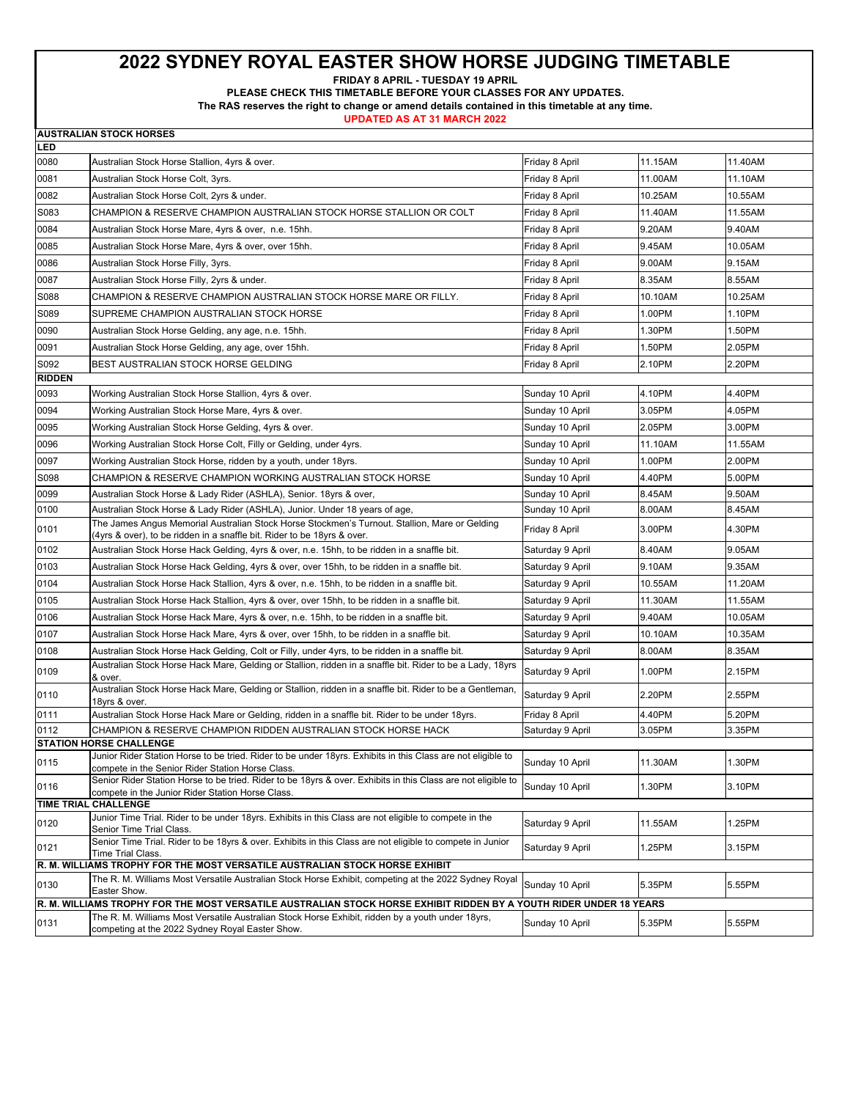**FRIDAY 8 APRIL - TUESDAY 19 APRIL** 

**PLEASE CHECK THIS TIMETABLE BEFORE YOUR CLASSES FOR ANY UPDATES.** 

**The RAS reserves the right to change or amend details contained in this timetable at any time.** 

|               | <b>AUSTRALIAN STOCK HORSES</b>                                                                                                                                                                                         |                  |         |         |
|---------------|------------------------------------------------------------------------------------------------------------------------------------------------------------------------------------------------------------------------|------------------|---------|---------|
| LED           |                                                                                                                                                                                                                        |                  |         |         |
| 0080          | Australian Stock Horse Stallion, 4yrs & over.                                                                                                                                                                          | Friday 8 April   | 11.15AM | 11.40AM |
| 0081          | Australian Stock Horse Colt, 3yrs.                                                                                                                                                                                     | Friday 8 April   | 11.00AM | 11.10AM |
| 0082          | Australian Stock Horse Colt, 2yrs & under.                                                                                                                                                                             | Friday 8 April   | 10.25AM | 10.55AM |
| S083          | CHAMPION & RESERVE CHAMPION AUSTRALIAN STOCK HORSE STALLION OR COLT                                                                                                                                                    | Friday 8 April   | 11.40AM | 11.55AM |
| 0084          | Australian Stock Horse Mare, 4yrs & over, n.e. 15hh.                                                                                                                                                                   | Friday 8 April   | 9.20AM  | 9.40AM  |
| 0085          | Australian Stock Horse Mare, 4yrs & over, over 15hh.                                                                                                                                                                   | Friday 8 April   | 9.45AM  | 10.05AM |
| 0086          | Australian Stock Horse Filly, 3yrs.                                                                                                                                                                                    | Friday 8 April   | 9.00AM  | 9.15AM  |
| 0087          | Australian Stock Horse Filly, 2yrs & under.                                                                                                                                                                            | Friday 8 April   | 8.35AM  | 8.55AM  |
| S088          | CHAMPION & RESERVE CHAMPION AUSTRALIAN STOCK HORSE MARE OR FILLY.                                                                                                                                                      | Friday 8 April   | 10.10AM | 10.25AM |
| S089          | SUPREME CHAMPION AUSTRALIAN STOCK HORSE                                                                                                                                                                                | Friday 8 April   | 1.00PM  | 1.10PM  |
| 0090          | Australian Stock Horse Gelding, any age, n.e. 15hh.                                                                                                                                                                    | Friday 8 April   | 1.30PM  | 1.50PM  |
| 0091          | Australian Stock Horse Gelding, any age, over 15hh.                                                                                                                                                                    | Friday 8 April   | 1.50PM  | 2.05PM  |
| S092          | BEST AUSTRALIAN STOCK HORSE GELDING                                                                                                                                                                                    | Friday 8 April   | 2.10PM  | 2.20PM  |
| <b>RIDDEN</b> |                                                                                                                                                                                                                        |                  |         |         |
| 0093          | Working Australian Stock Horse Stallion, 4yrs & over.                                                                                                                                                                  | Sunday 10 April  | 4.10PM  | 4.40PM  |
| 0094          | Working Australian Stock Horse Mare, 4yrs & over.                                                                                                                                                                      | Sunday 10 April  | 3.05PM  | 4.05PM  |
| 0095          | Working Australian Stock Horse Gelding, 4yrs & over.                                                                                                                                                                   | Sunday 10 April  | 2.05PM  | 3.00PM  |
| 0096          | Working Australian Stock Horse Colt, Filly or Gelding, under 4yrs.                                                                                                                                                     | Sunday 10 April  | 11.10AM | 11.55AM |
| 0097          | Working Australian Stock Horse, ridden by a youth, under 18yrs.                                                                                                                                                        | Sunday 10 April  | 1.00PM  | 2.00PM  |
| S098          | CHAMPION & RESERVE CHAMPION WORKING AUSTRALIAN STOCK HORSE                                                                                                                                                             | Sunday 10 April  | 4.40PM  | 5.00PM  |
| 0099          | Australian Stock Horse & Lady Rider (ASHLA), Senior. 18yrs & over,                                                                                                                                                     | Sunday 10 April  | 8.45AM  | 9.50AM  |
| 0100          | Australian Stock Horse & Lady Rider (ASHLA), Junior. Under 18 years of age,                                                                                                                                            | Sunday 10 April  | 8.00AM  | 8.45AM  |
| 0101          | The James Angus Memorial Australian Stock Horse Stockmen's Turnout. Stallion, Mare or Gelding                                                                                                                          | Friday 8 April   | 3.00PM  | 4.30PM  |
| 0102          | (4yrs & over), to be ridden in a snaffle bit. Rider to be 18yrs & over.<br>Australian Stock Horse Hack Gelding, 4yrs & over, n.e. 15hh, to be ridden in a snaffle bit.                                                 | Saturday 9 April | 8.40AM  | 9.05AM  |
| 0103          | Australian Stock Horse Hack Gelding, 4yrs & over, over 15hh, to be ridden in a snaffle bit.                                                                                                                            | Saturday 9 April | 9.10AM  | 9.35AM  |
| 0104          | Australian Stock Horse Hack Stallion, 4yrs & over, n.e. 15hh, to be ridden in a snaffle bit.                                                                                                                           | Saturday 9 April | 10.55AM | 11.20AM |
| 0105          | Australian Stock Horse Hack Stallion, 4yrs & over, over 15hh, to be ridden in a snaffle bit.                                                                                                                           | Saturday 9 April | 11.30AM | 11.55AM |
| 0106          | Australian Stock Horse Hack Mare, 4yrs & over, n.e. 15hh, to be ridden in a snaffle bit.                                                                                                                               | Saturday 9 April | 9.40AM  | 10.05AM |
| 0107          | Australian Stock Horse Hack Mare, 4yrs & over, over 15hh, to be ridden in a snaffle bit.                                                                                                                               | Saturday 9 April | 10.10AM | 10.35AM |
| 0108          | Australian Stock Horse Hack Gelding, Colt or Filly, under 4yrs, to be ridden in a snaffle bit.                                                                                                                         | Saturday 9 April | 8.00AM  | 8.35AM  |
|               | Australian Stock Horse Hack Mare, Gelding or Stallion, ridden in a snaffle bit. Rider to be a Lady, 18yrs                                                                                                              |                  |         |         |
| 0109          | & over.                                                                                                                                                                                                                | Saturday 9 April | 1.00PM  | 2.15PM  |
| 0110          | Australian Stock Horse Hack Mare, Gelding or Stallion, ridden in a snaffle bit. Rider to be a Gentleman,<br>18yrs & over.                                                                                              | Saturday 9 April | 2.20PM  | 2.55PM  |
| 0111          | Australian Stock Horse Hack Mare or Gelding, ridden in a snaffle bit. Rider to be under 18yrs.                                                                                                                         | Friday 8 April   | 4.40PM  | 5.20PM  |
| 0112          | CHAMPION & RESERVE CHAMPION RIDDEN AUSTRALIAN STOCK HORSE HACK                                                                                                                                                         | Saturday 9 April | 3.05PM  | 3.35PM  |
|               | <b>STATION HORSE CHALLENGE</b><br>Junior Rider Station Horse to be tried. Rider to be under 18yrs. Exhibits in this Class are not eligible to                                                                          |                  |         |         |
| 0115          | compete in the Senior Rider Station Horse Class.                                                                                                                                                                       | Sunday 10 April  | 11.30AM | 1.30PM  |
| 0116          | Senior Rider Station Horse to be tried. Rider to be 18yrs & over. Exhibits in this Class are not eligible to<br>compete in the Junior Rider Station Horse Class.                                                       | Sunday 10 April  | 1.30PM  | 3.10PM  |
|               | TIME TRIAL CHALLENGE<br>Junior Time Trial. Rider to be under 18yrs. Exhibits in this Class are not eligible to compete in the                                                                                          |                  |         |         |
| 0120          | Senior Time Trial Class.                                                                                                                                                                                               | Saturday 9 April | 11.55AM | 1.25PM  |
| 0121          | Senior Time Trial. Rider to be 18yrs & over. Exhibits in this Class are not eligible to compete in Junior<br>Time Trial Class.                                                                                         | Saturday 9 April | 1.25PM  | 3.15PM  |
|               | R. M. WILLIAMS TROPHY FOR THE MOST VERSATILE AUSTRALIAN STOCK HORSE EXHIBIT                                                                                                                                            |                  |         |         |
| 0130          | The R. M. Williams Most Versatile Australian Stock Horse Exhibit, competing at the 2022 Sydney Royal<br>Easter Show.                                                                                                   | Sunday 10 April  | 5.35PM  | 5.55PM  |
|               | R. M. WILLIAMS TROPHY FOR THE MOST VERSATILE AUSTRALIAN STOCK HORSE EXHIBIT RIDDEN BY A YOUTH RIDER UNDER 18 YEARS<br>The R. M. Williams Most Versatile Australian Stock Horse Exhibit, ridden by a youth under 18yrs, |                  |         |         |
| 0131          | competing at the 2022 Sydney Royal Easter Show.                                                                                                                                                                        | Sunday 10 April  | 5.35PM  | 5.55PM  |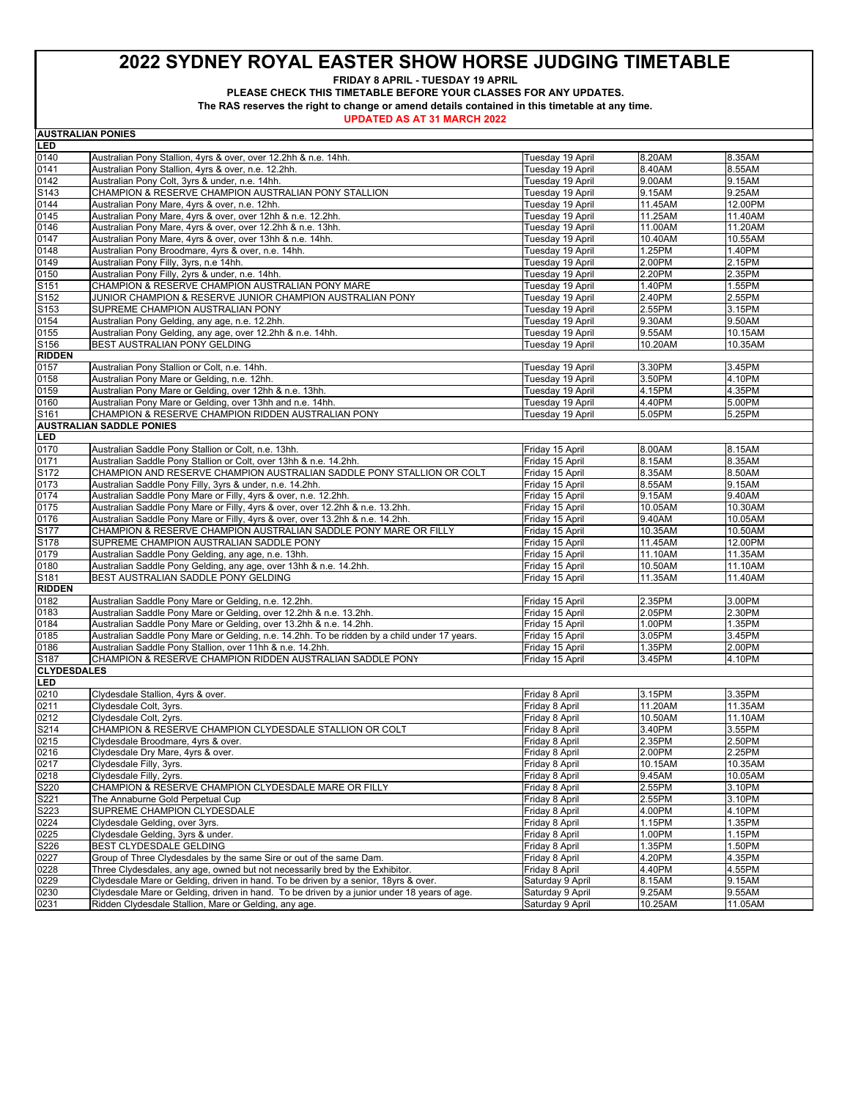**FRIDAY 8 APRIL - TUESDAY 19 APRIL** 

**PLEASE CHECK THIS TIMETABLE BEFORE YOUR CLASSES FOR ANY UPDATES.** 

**The RAS reserves the right to change or amend details contained in this timetable at any time.** 

**UPDATED AS AT 31 MARCH 2022**

**AUSTRALIAN PONIES**

| LED                        |                                                                                              |                                  |                   |                   |
|----------------------------|----------------------------------------------------------------------------------------------|----------------------------------|-------------------|-------------------|
| 0140                       | Australian Pony Stallion, 4yrs & over, over 12.2hh & n.e. 14hh.                              | Tuesday 19 April                 | 8.20AM            | 8.35AM            |
| 0141                       | Australian Pony Stallion, 4yrs & over, n.e. 12.2hh.                                          | Tuesday 19 April                 | 8.40AM            | 8.55AM            |
| 0142                       | Australian Pony Colt, 3yrs & under, n.e. 14hh.                                               | Tuesday 19 April                 | 9.00AM            | 9.15AM            |
| S143                       | CHAMPION & RESERVE CHAMPION AUSTRALIAN PONY STALLION                                         | Tuesday 19 April                 | 9.15AM            | 9.25AM            |
| 0144                       | Australian Pony Mare, 4yrs & over, n.e. 12hh.                                                | Tuesday 19 April                 | 11.45AM           | 12.00PM           |
| 0145                       | Australian Pony Mare, 4yrs & over, over 12hh & n.e. 12.2hh.                                  | Tuesday 19 April                 | 11.25AM           | 11.40AM           |
| 0146                       | Australian Pony Mare, 4yrs & over, over 12.2hh & n.e. 13hh.                                  | Tuesday 19 April                 | 11.00AM           | 11.20AM           |
| 0147                       | Australian Pony Mare, 4yrs & over, over 13hh & n.e. 14hh.                                    | Tuesday 19 April                 | 10.40AM           | 10.55AM           |
| 0148                       | Australian Pony Broodmare, 4yrs & over, n.e. 14hh.                                           | Tuesday 19 April                 | 1.25PM            | 1.40PM            |
| 0149                       | Australian Pony Filly, 3yrs, n.e 14hh.                                                       | Tuesday 19 April                 | 2.00PM            | 2.15PM            |
| 0150                       | Australian Pony Filly, 2yrs & under, n.e. 14hh.                                              | Tuesday 19 April                 | 2.20PM            | 2.35PM            |
| S151                       | CHAMPION & RESERVE CHAMPION AUSTRALIAN PONY MARE                                             | Tuesday 19 April                 | 1.40PM            | 1.55PM            |
| S152                       | JUNIOR CHAMPION & RESERVE JUNIOR CHAMPION AUSTRALIAN PONY                                    | Tuesday 19 April                 | 2.40PM            | 2.55PM            |
| S153                       | SUPREME CHAMPION AUSTRALIAN PONY                                                             | Tuesday 19 April                 | 2.55PM            | 3.15PM            |
| 0154                       | Australian Pony Gelding, any age, n.e. 12.2hh.                                               | Tuesday 19 April                 | 9.30AM            | 9.50AM            |
| 0155                       | Australian Pony Gelding, any age, over 12.2hh & n.e. 14hh.                                   | Tuesday 19 April                 | 9.55AM            | 10.15AM           |
| S156                       | BEST AUSTRALIAN PONY GELDING                                                                 | Tuesday 19 April                 | 10.20AM           | 10.35AM           |
| <b>RIDDEN</b>              |                                                                                              |                                  |                   |                   |
| 0157                       | Australian Pony Stallion or Colt, n.e. 14hh.                                                 | Tuesday 19 April                 | 3.30PM            | 3.45PM            |
| 0158                       | Australian Pony Mare or Gelding, n.e. 12hh.                                                  | Tuesday 19 April                 | 3.50PM            | 4.10PM            |
| 0159                       | Australian Pony Mare or Gelding, over 12hh & n.e. 13hh.                                      | Tuesday 19 April                 | 4.15PM            | 4.35PM            |
| 0160                       | Australian Pony Mare or Gelding, over 13hh and n.e. 14hh.                                    | Tuesday 19 April                 | 4.40PM            | 5.00PM            |
| S161                       | CHAMPION & RESERVE CHAMPION RIDDEN AUSTRALIAN PONY                                           | Tuesday 19 April                 | 5.05PM            | 5.25PM            |
|                            | <b>AUSTRALIAN SADDLE PONIES</b>                                                              |                                  |                   |                   |
| LED                        |                                                                                              |                                  |                   |                   |
| 0170                       | Australian Saddle Pony Stallion or Colt, n.e. 13hh.                                          | Friday 15 April                  | 8.00AM            | 8.15AM            |
| 0171                       | Australian Saddle Pony Stallion or Colt, over 13hh & n.e. 14.2hh.                            | Friday 15 April                  | 8.15AM            | 8.35AM            |
| S172                       | CHAMPION AND RESERVE CHAMPION AUSTRALIAN SADDLE PONY STALLION OR COLT                        | Friday 15 April                  | 8.35AM            | 8.50AM            |
| 0173                       | Australian Saddle Pony Filly, 3yrs & under, n.e. 14.2hh.                                     | Friday 15 April                  | 8.55AM            | 9.15AM            |
| 0174                       | Australian Saddle Pony Mare or Filly, 4yrs & over, n.e. 12.2hh.                              | Friday 15 April                  | 9.15AM            | 9.40AM            |
| 0175                       | Australian Saddle Pony Mare or Filly, 4yrs & over, over 12.2hh & n.e. 13.2hh.                | Friday 15 April                  | 10.05AM           | 10.30AM           |
| 0176                       | Australian Saddle Pony Mare or Filly, 4yrs & over, over 13.2hh & n.e. 14.2hh.                | Friday 15 April                  | 9.40AM            | 10.05AM           |
| S177                       | CHAMPION & RESERVE CHAMPION AUSTRALIAN SADDLE PONY MARE OR FILLY                             | Friday 15 April                  | 10.35AM           | 10.50AM           |
| S178                       | SUPREME CHAMPION AUSTRALIAN SADDLE PONY                                                      | Friday 15 April                  | 11.45AM           | 12.00PM           |
| 0179                       | Australian Saddle Pony Gelding, any age, n.e. 13hh.                                          | Friday 15 April                  | 11.10AM           | 11.35AM           |
| 0180                       | Australian Saddle Pony Gelding, any age, over 13hh & n.e. 14.2hh.                            | Friday 15 April                  | 10.50AM           | 11.10AM           |
| S181                       | BEST AUSTRALIAN SADDLE PONY GELDING                                                          | Friday 15 April                  | 11.35AM           | 11.40AM           |
| <b>RIDDEN</b>              |                                                                                              |                                  |                   |                   |
| 0182                       | Australian Saddle Pony Mare or Gelding, n.e. 12.2hh.                                         | Friday 15 April                  | 2.35PM            | 3.00PM            |
| 0183                       | Australian Saddle Pony Mare or Gelding, over 12.2hh & n.e. 13.2hh.                           | Friday 15 April                  | 2.05PM            | 2.30PM            |
| 0184                       | Australian Saddle Pony Mare or Gelding, over 13.2hh & n.e. 14.2hh.                           | Friday 15 April                  | 1.00PM            | 1.35PM            |
| 0185                       | Australian Saddle Pony Mare or Gelding, n.e. 14.2hh. To be ridden by a child under 17 years. | Friday 15 April                  | 3.05PM            | 3.45PM            |
| 0186                       | Australian Saddle Pony Stallion, over 11hh & n.e. 14.2hh.                                    | Friday 15 April                  | 1.35PM            | 2.00PM            |
| S187<br><b>CLYDESDALES</b> | CHAMPION & RESERVE CHAMPION RIDDEN AUSTRALIAN SADDLE PONY                                    | Friday 15 April                  | 3.45PM            | 4.10PM            |
| LED                        |                                                                                              |                                  |                   |                   |
|                            |                                                                                              |                                  |                   |                   |
| 0210                       | Clydesdale Stallion, 4yrs & over.<br>Clydesdale Colt, 3yrs.                                  | Friday 8 April<br>Friday 8 April | 3.15PM<br>11.20AM | 3.35PM<br>11.35AM |
| 0211<br>0212               |                                                                                              | Friday 8 April                   | 10.50AM           |                   |
| S214                       | Clydesdale Colt, 2yrs.<br>CHAMPION & RESERVE CHAMPION CLYDESDALE STALLION OR COLT            | Friday 8 April                   | 3.40PM            | 11.10AM<br>3.55PM |
| 0215                       | Clydesdale Broodmare, 4yrs & over.                                                           | Friday 8 April                   | 2.35PM            | 2.50PM            |
| 0216                       | Clydesdale Dry Mare, 4yrs & over.                                                            | Friday 8 April                   | 2.00PM            | 2.25PM            |
| 0217                       | Clydesdale Filly, 3yrs.                                                                      | Friday 8 April                   | 10.15AM           | 10.35AM           |
| 0218                       | Clydesdale Filly, 2yrs.                                                                      | Friday 8 April                   | 9.45AM            | 10.05AM           |
| S220                       | CHAMPION & RESERVE CHAMPION CLYDESDALE MARE OR FILLY                                         | Friday 8 April                   | 2.55PM            | 3.10PM            |
| S221                       | The Annaburne Gold Perpetual Cup                                                             | Friday 8 April                   | 2.55PM            | 3.10PM            |
| S223                       | SUPREME CHAMPION CLYDESDALE                                                                  | Friday 8 April                   | 4.00PM            | 4.10PM            |
| 0224                       | Clydesdale Gelding, over 3yrs.                                                               | Friday 8 April                   | 1.15PM            | 1.35PM            |
| 0225                       | Clydesdale Gelding, 3yrs & under.                                                            | Friday 8 April                   | 1.00PM            | 1.15PM            |
| S226                       | BEST CLYDESDALE GELDING                                                                      | Friday 8 April                   | 1.35PM            | 1.50PM            |
| 0227                       | Group of Three Clydesdales by the same Sire or out of the same Dam.                          | Friday 8 April                   | 4.20PM            | 4.35PM            |
| 0228                       | Three Clydesdales, any age, owned but not necessarily bred by the Exhibitor.                 | Friday 8 April                   | 4.40PM            | 4.55PM            |
| 0229                       | Clydesdale Mare or Gelding, driven in hand. To be driven by a senior, 18yrs & over.          | Saturday 9 April                 | 8.15AM            | 9.15AM            |
| 0230                       | Clydesdale Mare or Gelding, driven in hand. To be driven by a junior under 18 years of age.  | Saturday 9 April                 | 9.25AM            | 9.55AM            |
| 0231                       | Ridden Clydesdale Stallion, Mare or Gelding, any age.                                        | Saturday 9 April                 | 10.25AM           | 11.05AM           |
|                            |                                                                                              |                                  |                   |                   |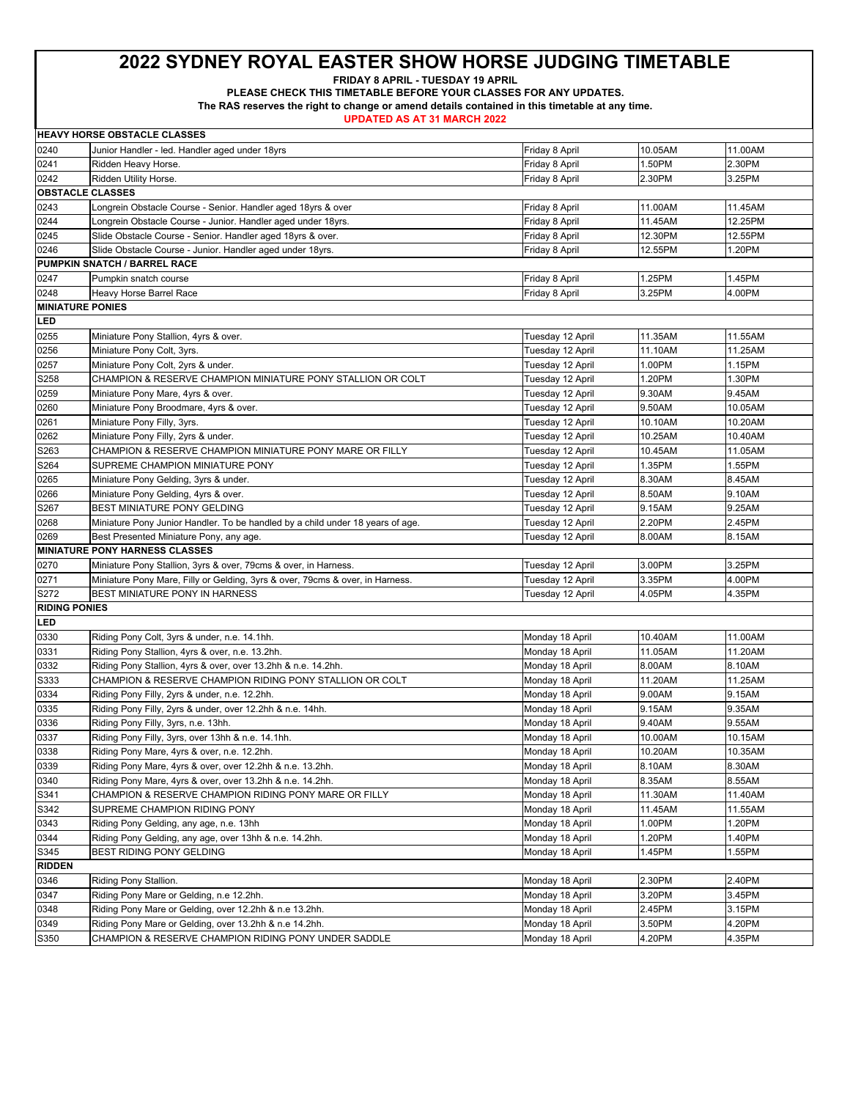**FRIDAY 8 APRIL - TUESDAY 19 APRIL** 

**PLEASE CHECK THIS TIMETABLE BEFORE YOUR CLASSES FOR ANY UPDATES.** 

**The RAS reserves the right to change or amend details contained in this timetable at any time.** 

|                         | <b>HEAVY HORSE OBSTACLE CLASSES</b>                                            |                  |         |         |
|-------------------------|--------------------------------------------------------------------------------|------------------|---------|---------|
| 0240                    | Junior Handler - led. Handler aged under 18yrs                                 | Friday 8 April   | 10.05AM | 11.00AM |
| 0241                    | Ridden Heavy Horse.                                                            | Friday 8 April   | 1.50PM  | 2.30PM  |
| 0242                    | Ridden Utility Horse.                                                          | Friday 8 April   | 2.30PM  | 3.25PM  |
| <b>OBSTACLE CLASSES</b> |                                                                                |                  |         |         |
| 0243                    | Longrein Obstacle Course - Senior. Handler aged 18yrs & over                   | Friday 8 April   | 11.00AM | 11.45AM |
| 0244                    | Longrein Obstacle Course - Junior. Handler aged under 18yrs.                   | Friday 8 April   | 11.45AM | 12.25PM |
| 0245                    | Slide Obstacle Course - Senior. Handler aged 18yrs & over.                     | Friday 8 April   | 12.30PM | 12.55PM |
| 0246                    | Slide Obstacle Course - Junior. Handler aged under 18yrs.                      | Friday 8 April   | 12.55PM | 1.20PM  |
|                         | PUMPKIN SNATCH / BARREL RACE                                                   |                  |         |         |
| 0247                    | Pumpkin snatch course                                                          | Friday 8 April   | 1.25PM  | 1.45PM  |
| 0248                    | Heavy Horse Barrel Race                                                        | Friday 8 April   | 3.25PM  | 4.00PM  |
| <b>MINIATURE PONIES</b> |                                                                                |                  |         |         |
| LED                     |                                                                                |                  |         |         |
| 0255                    | Miniature Pony Stallion, 4yrs & over.                                          | Tuesday 12 April | 11.35AM | 11.55AM |
| 0256                    | Miniature Pony Colt, 3yrs.                                                     | Tuesday 12 April | 11.10AM | 11.25AM |
| 0257                    | Miniature Pony Colt, 2yrs & under.                                             | Tuesday 12 April | 1.00PM  | 1.15PM  |
| S258                    | CHAMPION & RESERVE CHAMPION MINIATURE PONY STALLION OR COLT                    | Tuesday 12 April | 1.20PM  | 1.30PM  |
| 0259                    | Miniature Pony Mare, 4yrs & over.                                              | Tuesday 12 April | 9.30AM  | 9.45AM  |
| 0260                    | Miniature Pony Broodmare, 4yrs & over.                                         | Tuesday 12 April | 9.50AM  | 10.05AM |
| 0261                    | Miniature Pony Filly, 3yrs.                                                    | Tuesday 12 April | 10.10AM | 10.20AM |
| 0262                    | Miniature Pony Filly, 2yrs & under.                                            | Tuesday 12 April | 10.25AM | 10.40AM |
| S263                    | CHAMPION & RESERVE CHAMPION MINIATURE PONY MARE OR FILLY                       | Tuesday 12 April | 10.45AM | 11.05AM |
| S264                    | SUPREME CHAMPION MINIATURE PONY                                                | Tuesday 12 April | 1.35PM  | 1.55PM  |
| 0265                    | Miniature Pony Gelding, 3yrs & under.                                          | Tuesday 12 April | 8.30AM  | 8.45AM  |
| 0266                    | Miniature Pony Gelding, 4yrs & over.                                           | Tuesday 12 April | 8.50AM  | 9.10AM  |
| S267                    | BEST MINIATURE PONY GELDING                                                    | Tuesday 12 April | 9.15AM  | 9.25AM  |
| 0268                    | Miniature Pony Junior Handler. To be handled by a child under 18 years of age. | Tuesday 12 April | 2.20PM  | 2.45PM  |
| 0269                    | Best Presented Miniature Pony, any age.                                        | Tuesday 12 April | 8.00AM  | 8.15AM  |
|                         | <b>MINIATURE PONY HARNESS CLASSES</b>                                          |                  |         |         |
| 0270                    | Miniature Pony Stallion, 3yrs & over, 79cms & over, in Harness.                | Tuesday 12 April | 3.00PM  | 3.25PM  |
| 0271                    | Miniature Pony Mare, Filly or Gelding, 3yrs & over, 79cms & over, in Harness.  | Tuesday 12 April | 3.35PM  | 4.00PM  |
| S272                    | BEST MINIATURE PONY IN HARNESS                                                 | Tuesday 12 April | 4.05PM  | 4.35PM  |
| <b>RIDING PONIES</b>    |                                                                                |                  |         |         |
| LED                     |                                                                                |                  |         |         |
| 0330                    | Riding Pony Colt, 3yrs & under, n.e. 14.1hh.                                   | Monday 18 April  | 10.40AM | 11.00AM |
| 0331                    | Riding Pony Stallion, 4yrs & over, n.e. 13.2hh.                                | Monday 18 April  | 11.05AM | 11.20AM |
| 0332                    | Riding Pony Stallion, 4yrs & over, over 13.2hh & n.e. 14.2hh.                  | Monday 18 April  | 8.00AM  | 8.10AM  |
| S333                    | CHAMPION & RESERVE CHAMPION RIDING PONY STALLION OR COLT                       | Monday 18 April  | 11.20AM | 11.25AM |
| 0334                    | Riding Pony Filly, 2yrs & under, n.e. 12.2hh.                                  | Monday 18 April  | 9.00AM  | 9.15AM  |
| 0335                    | Riding Pony Filly, 2yrs & under, over 12.2hh & n.e. 14hh.                      | Monday 18 April  | 9.15AM  | 9.35AM  |
| 0336                    | Riding Pony Filly, 3yrs, n.e. 13hh.                                            | Monday 18 April  | 9.40AM  | 9.55AM  |
| 0337                    | Riding Pony Filly, 3yrs, over 13hh & n.e. 14.1hh.                              | Monday 18 April  | 10.00AM | 10.15AM |
| 0338                    | Riding Pony Mare, 4yrs & over, n.e. 12.2hh.                                    | Monday 18 April  | 10.20AM | 10.35AM |
| 0339                    | Riding Pony Mare, 4yrs & over, over 12.2hh & n.e. 13.2hh.                      | Monday 18 April  | 8.10AM  | 8.30AM  |
| 0340                    | Riding Pony Mare, 4yrs & over, over 13.2hh & n.e. 14.2hh.                      | Monday 18 April  | 8.35AM  | 8.55AM  |
| S341                    | CHAMPION & RESERVE CHAMPION RIDING PONY MARE OR FILLY                          | Monday 18 April  | 11.30AM | 11.40AM |
| S342                    | SUPREME CHAMPION RIDING PONY                                                   | Monday 18 April  | 11.45AM | 11.55AM |
| 0343                    | Riding Pony Gelding, any age, n.e. 13hh                                        | Monday 18 April  | 1.00PM  | 1.20PM  |
| 0344                    | Riding Pony Gelding, any age, over 13hh & n.e. 14.2hh.                         | Monday 18 April  | 1.20PM  | 1.40PM  |
| S345                    | BEST RIDING PONY GELDING                                                       | Monday 18 April  | 1.45PM  | 1.55PM  |
| <b>RIDDEN</b>           |                                                                                |                  |         |         |
| 0346                    | Riding Pony Stallion.                                                          | Monday 18 April  | 2.30PM  | 2.40PM  |
| 0347                    | Riding Pony Mare or Gelding, n.e 12.2hh.                                       | Monday 18 April  | 3.20PM  | 3.45PM  |
| 0348                    | Riding Pony Mare or Gelding, over 12.2hh & n.e 13.2hh.                         | Monday 18 April  | 2.45PM  | 3.15PM  |
| 0349                    | Riding Pony Mare or Gelding, over 13.2hh & n.e 14.2hh.                         | Monday 18 April  | 3.50PM  | 4.20PM  |
| S350                    | CHAMPION & RESERVE CHAMPION RIDING PONY UNDER SADDLE                           | Monday 18 April  | 4.20PM  | 4.35PM  |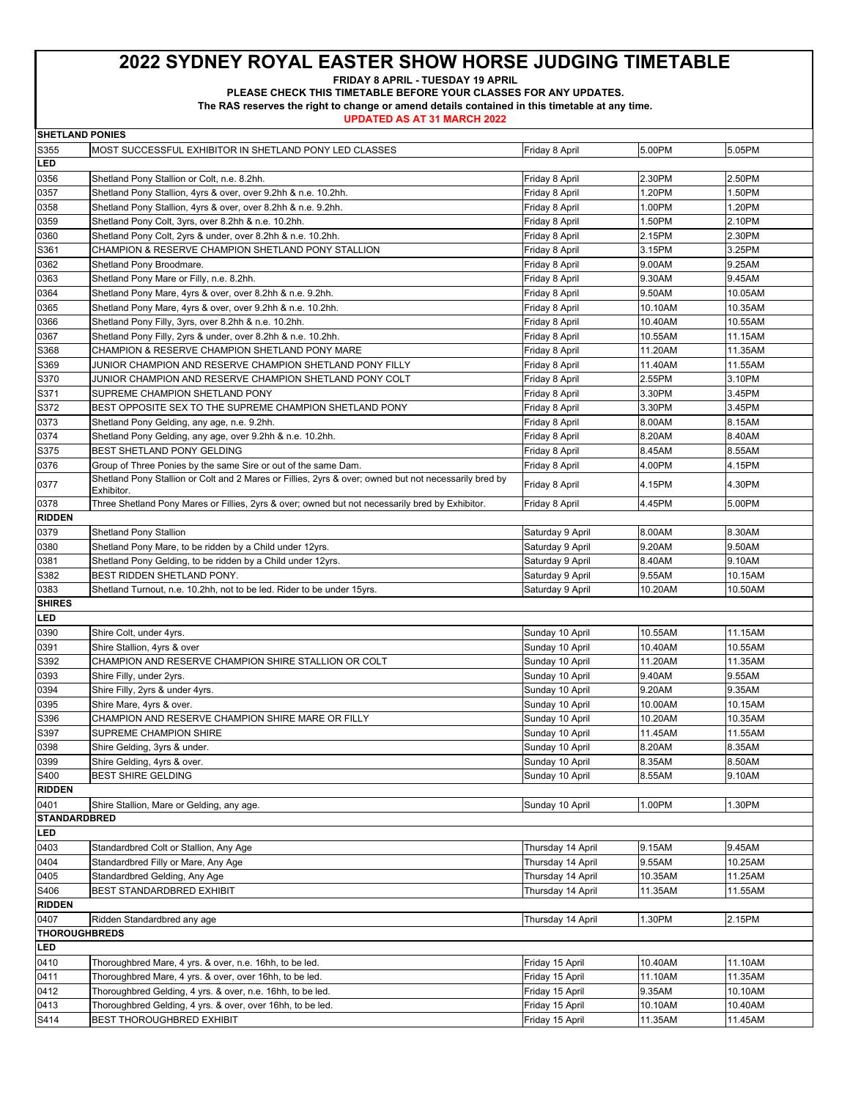**FRIDAY 8 APRIL - TUESDAY 19 APRIL** 

**PLEASE CHECK THIS TIMETABLE BEFORE YOUR CLASSES FOR ANY UPDATES.** 

**The RAS reserves the right to change or amend details contained in this timetable at any time.** 

**UPDATED AS AT 31 MARCH 2022**

**SHETLAND PONIES**

| S355                                                                                  | MOST SUCCESSFUL EXHIBITOR IN SHETLAND PONY LED CLASSES                                                                                                                  | Friday 8 April                     | 5.00PM             | 5.05PM             |
|---------------------------------------------------------------------------------------|-------------------------------------------------------------------------------------------------------------------------------------------------------------------------|------------------------------------|--------------------|--------------------|
| LED                                                                                   |                                                                                                                                                                         |                                    |                    |                    |
| 0356                                                                                  | Shetland Pony Stallion or Colt, n.e. 8.2hh.                                                                                                                             | Friday 8 April                     | 2.30PM             | 2.50PM             |
| 0357                                                                                  | Shetland Pony Stallion, 4yrs & over, over 9.2hh & n.e. 10.2hh.                                                                                                          | Friday 8 April                     | 1.20PM             | 1.50PM             |
| 0358                                                                                  | Shetland Pony Stallion, 4yrs & over, over 8.2hh & n.e. 9.2hh.                                                                                                           | Friday 8 April                     | 1.00PM             | 1.20PM             |
| 0359                                                                                  | Shetland Pony Colt, 3yrs, over 8.2hh & n.e. 10.2hh.                                                                                                                     | Friday 8 April                     | 1.50PM             | 2.10PM             |
| 0360                                                                                  | Shetland Pony Colt, 2yrs & under, over 8.2hh & n.e. 10.2hh.                                                                                                             | Friday 8 April                     | 2.15PM             | 2.30PM             |
| S361                                                                                  | CHAMPION & RESERVE CHAMPION SHETLAND PONY STALLION                                                                                                                      | Friday 8 April                     | 3.15PM             | 3.25PM             |
| 0362                                                                                  | Shetland Pony Broodmare.                                                                                                                                                | Friday 8 April                     | 9.00AM             | 9.25AM             |
| 0363                                                                                  | Shetland Pony Mare or Filly, n.e. 8.2hh.                                                                                                                                | Friday 8 April                     | 9.30AM             | 9.45AM             |
| 0364                                                                                  | Shetland Pony Mare, 4yrs & over, over 8.2hh & n.e. 9.2hh.                                                                                                               | Friday 8 April                     | 9.50AM             | 10.05AM            |
| 0365                                                                                  | Shetland Pony Mare, 4yrs & over, over 9.2hh & n.e. 10.2hh.                                                                                                              | Friday 8 April                     | 10.10AM            | 10.35AM            |
| 0366                                                                                  | Shetland Pony Filly, 3yrs, over 8.2hh & n.e. 10.2hh.                                                                                                                    | Friday 8 April                     | 10.40AM            | 10.55AM            |
| 0367                                                                                  | Shetland Pony Filly, 2yrs & under, over 8.2hh & n.e. 10.2hh.                                                                                                            | Friday 8 April                     | 10.55AM            | 11.15AM            |
| S368                                                                                  | CHAMPION & RESERVE CHAMPION SHETLAND PONY MARE                                                                                                                          | Friday 8 April                     | 11.20AM            | 11.35AM            |
| S369                                                                                  | JUNIOR CHAMPION AND RESERVE CHAMPION SHETLAND PONY FILLY                                                                                                                | Friday 8 April                     | 11.40AM            | 11.55AM            |
| S370                                                                                  | JUNIOR CHAMPION AND RESERVE CHAMPION SHETLAND PONY COLT                                                                                                                 | Friday 8 April                     | 2.55PM             | 3.10PM             |
| S371                                                                                  | SUPREME CHAMPION SHETLAND PONY                                                                                                                                          | Friday 8 April                     | 3.30PM             | 3.45PM             |
| S372                                                                                  | BEST OPPOSITE SEX TO THE SUPREME CHAMPION SHETLAND PONY                                                                                                                 | Friday 8 April                     | 3.30PM             | 3.45PM             |
| 0373                                                                                  | Shetland Pony Gelding, any age, n.e. 9.2hh.                                                                                                                             | Friday 8 April                     | 8.00AM             | 8.15AM             |
| 0374                                                                                  | Shetland Pony Gelding, any age, over 9.2hh & n.e. 10.2hh.                                                                                                               | Friday 8 April                     | 8.20AM             | 8.40AM             |
| S375                                                                                  | BEST SHETLAND PONY GELDING                                                                                                                                              | Friday 8 April                     | 8.45AM             | 8.55AM             |
| 0376                                                                                  |                                                                                                                                                                         |                                    | 4.00PM             | 4.15PM             |
|                                                                                       | Group of Three Ponies by the same Sire or out of the same Dam.<br>Shetland Pony Stallion or Colt and 2 Mares or Fillies, 2yrs & over; owned but not necessarily bred by | Friday 8 April                     |                    |                    |
| 0377                                                                                  | Exhibitor.                                                                                                                                                              | Friday 8 April                     | 4.15PM             | 4.30PM             |
| 0378                                                                                  | Three Shetland Pony Mares or Fillies, 2yrs & over; owned but not necessarily bred by Exhibitor.                                                                         | Friday 8 April                     | 4.45PM             | 5.00PM             |
| <b>RIDDEN</b>                                                                         |                                                                                                                                                                         |                                    |                    |                    |
| 0379                                                                                  | <b>Shetland Pony Stallion</b>                                                                                                                                           | Saturday 9 April                   | 8.00AM             | 8.30AM             |
| 0380                                                                                  | Shetland Pony Mare, to be ridden by a Child under 12yrs.                                                                                                                | Saturday 9 April                   | 9.20AM             | 9.50AM             |
| 0381                                                                                  | Shetland Pony Gelding, to be ridden by a Child under 12yrs.                                                                                                             | Saturday 9 April                   | 8.40AM             | 9.10AM             |
| S382                                                                                  | BEST RIDDEN SHETLAND PONY.                                                                                                                                              | Saturday 9 April                   | 9.55AM             | 10.15AM            |
|                                                                                       |                                                                                                                                                                         |                                    |                    |                    |
| 0383                                                                                  | Shetland Turnout, n.e. 10.2hh, not to be led. Rider to be under 15yrs.                                                                                                  | Saturday 9 April                   | 10.20AM            | 10.50AM            |
| <b>SHIRES</b>                                                                         |                                                                                                                                                                         |                                    |                    |                    |
| LED                                                                                   |                                                                                                                                                                         |                                    |                    |                    |
| 0390                                                                                  | Shire Colt, under 4yrs.                                                                                                                                                 | Sunday 10 April                    | 10.55AM            | 11.15AM            |
| 0391                                                                                  | Shire Stallion, 4yrs & over                                                                                                                                             | Sunday 10 April                    | 10.40AM            | 10.55AM            |
| S392                                                                                  | CHAMPION AND RESERVE CHAMPION SHIRE STALLION OR COLT                                                                                                                    | Sunday 10 April                    | 11.20AM            | 11.35AM            |
| 0393                                                                                  | Shire Filly, under 2yrs.                                                                                                                                                | Sunday 10 April                    | 9.40AM             | 9.55AM             |
| 0394                                                                                  | Shire Filly, 2yrs & under 4yrs.                                                                                                                                         | Sunday 10 April                    | 9.20AM             | 9.35AM             |
| 0395                                                                                  | Shire Mare, 4yrs & over.                                                                                                                                                | Sunday 10 April                    | 10.00AM            | 10.15AM            |
| S396                                                                                  | CHAMPION AND RESERVE CHAMPION SHIRE MARE OR FILLY                                                                                                                       |                                    | 10.20AM            | 10.35AM            |
|                                                                                       |                                                                                                                                                                         | Sunday 10 April                    |                    |                    |
| S397                                                                                  | SUPREME CHAMPION SHIRE                                                                                                                                                  | Sunday 10 April                    | 11.45AM            | 11.55AM            |
| 0398                                                                                  | Shire Gelding, 3yrs & under.                                                                                                                                            | Sunday 10 April                    | 8.20AM             | 8.35AM             |
| 0399                                                                                  | Shire Gelding, 4yrs & over.                                                                                                                                             | Sunday 10 April                    | 8.35AM             | 8.50AM             |
|                                                                                       | <b>BEST SHIRE GELDING</b>                                                                                                                                               | Sunday 10 April                    | 8.55AM             | 9.10AM             |
|                                                                                       |                                                                                                                                                                         |                                    |                    |                    |
| 0401                                                                                  | Shire Stallion, Mare or Gelding, any age.                                                                                                                               | Sunday 10 April                    | 1.00PM             | 1.30PM             |
|                                                                                       |                                                                                                                                                                         |                                    |                    |                    |
| S400<br><b>RIDDEN</b><br><b>STANDARDBRED</b><br>LED                                   |                                                                                                                                                                         |                                    |                    |                    |
| 0403                                                                                  | Standardbred Colt or Stallion, Any Age                                                                                                                                  | Thursday 14 April                  | 9.15AM             | 9.45AM             |
|                                                                                       | Standardbred Filly or Mare, Any Age                                                                                                                                     | Thursday 14 April                  | 9.55AM             | 10.25AM            |
|                                                                                       | Standardbred Gelding, Any Age                                                                                                                                           | Thursday 14 April                  | 10.35AM            | 11.25AM            |
|                                                                                       | BEST STANDARDBRED EXHIBIT                                                                                                                                               | Thursday 14 April                  | 11.35AM            | 11.55AM            |
|                                                                                       |                                                                                                                                                                         |                                    |                    |                    |
| 0407                                                                                  | Ridden Standardbred any age                                                                                                                                             | Thursday 14 April                  | 1.30PM             | 2.15PM             |
|                                                                                       |                                                                                                                                                                         |                                    |                    |                    |
| LED                                                                                   |                                                                                                                                                                         |                                    |                    |                    |
|                                                                                       | Thoroughbred Mare, 4 yrs. & over, n.e. 16hh, to be led.                                                                                                                 | Friday 15 April                    | 10.40AM            | 11.10AM            |
|                                                                                       | Thoroughbred Mare, 4 yrs. & over, over 16hh, to be led.                                                                                                                 | Friday 15 April                    | 11.10AM            | 11.35AM            |
| 0404<br>0405<br>S406<br><b>RIDDEN</b><br><b>THOROUGHBREDS</b><br>0410<br>0411<br>0412 | Thoroughbred Gelding, 4 yrs. & over, n.e. 16hh, to be led.                                                                                                              | Friday 15 April                    | 9.35AM             | 10.10AM            |
| 0413<br>S414                                                                          | Thoroughbred Gelding, 4 yrs. & over, over 16hh, to be led.<br>BEST THOROUGHBRED EXHIBIT                                                                                 | Friday 15 April<br>Friday 15 April | 10.10AM<br>11.35AM | 10.40AM<br>11.45AM |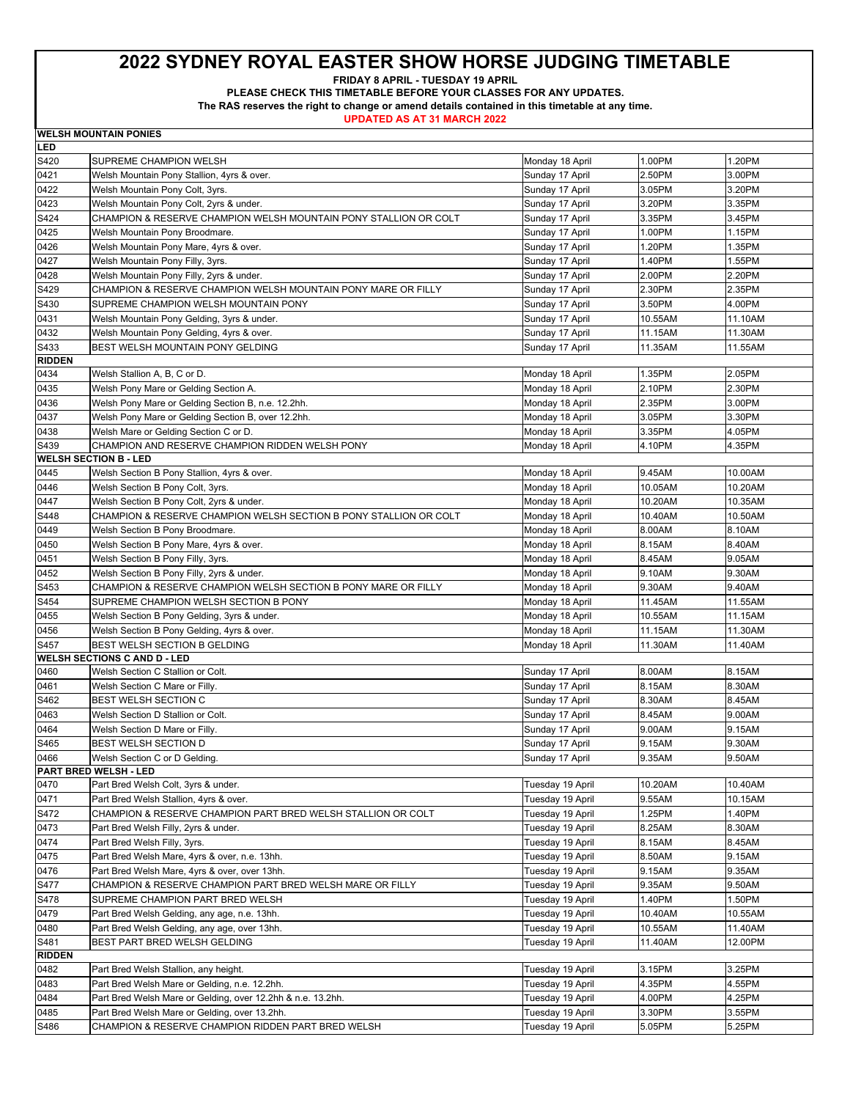**FRIDAY 8 APRIL - TUESDAY 19 APRIL** 

**PLEASE CHECK THIS TIMETABLE BEFORE YOUR CLASSES FOR ANY UPDATES.** 

**The RAS reserves the right to change or amend details contained in this timetable at any time.** 

|               | <b>WELSH MOUNTAIN PONIES</b>                                      |                  |         |         |
|---------------|-------------------------------------------------------------------|------------------|---------|---------|
| LED           |                                                                   |                  |         |         |
| S420          | SUPREME CHAMPION WELSH                                            | Monday 18 April  | 1.00PM  | 1.20PM  |
| 0421          | Welsh Mountain Pony Stallion, 4yrs & over.                        | Sunday 17 April  | 2.50PM  | 3.00PM  |
| 0422          | Welsh Mountain Pony Colt, 3yrs.                                   | Sunday 17 April  | 3.05PM  | 3.20PM  |
| 0423          | Welsh Mountain Pony Colt, 2yrs & under.                           | Sunday 17 April  | 3.20PM  | 3.35PM  |
| S424          | CHAMPION & RESERVE CHAMPION WELSH MOUNTAIN PONY STALLION OR COLT  | Sunday 17 April  | 3.35PM  | 3.45PM  |
| 0425          | Welsh Mountain Pony Broodmare.                                    | Sunday 17 April  | 1.00PM  | 1.15PM  |
| 0426          | Welsh Mountain Pony Mare, 4yrs & over.                            | Sunday 17 April  | 1.20PM  | 1.35PM  |
| 0427          | Welsh Mountain Pony Filly, 3yrs.                                  | Sunday 17 April  | 1.40PM  | 1.55PM  |
| 0428          | Welsh Mountain Pony Filly, 2yrs & under.                          | Sunday 17 April  | 2.00PM  | 2.20PM  |
| S429          | CHAMPION & RESERVE CHAMPION WELSH MOUNTAIN PONY MARE OR FILLY     | Sunday 17 April  | 2.30PM  | 2.35PM  |
| S430          | SUPREME CHAMPION WELSH MOUNTAIN PONY                              | Sunday 17 April  | 3.50PM  | 4.00PM  |
| 0431          | Welsh Mountain Pony Gelding, 3yrs & under.                        | Sunday 17 April  | 10.55AM | 11.10AM |
| 0432          | Welsh Mountain Pony Gelding, 4yrs & over.                         | Sunday 17 April  | 11.15AM | 11.30AM |
| S433          | BEST WELSH MOUNTAIN PONY GELDING                                  | Sunday 17 April  | 11.35AM | 11.55AM |
| <b>RIDDEN</b> |                                                                   |                  |         |         |
| 0434          | Welsh Stallion A, B, C or D.                                      | Monday 18 April  | 1.35PM  | 2.05PM  |
| 0435          | Welsh Pony Mare or Gelding Section A.                             | Monday 18 April  | 2.10PM  | 2.30PM  |
| 0436          | Welsh Pony Mare or Gelding Section B, n.e. 12.2hh.                | Monday 18 April  | 2.35PM  | 3.00PM  |
| 0437          | Welsh Pony Mare or Gelding Section B, over 12.2hh.                | Monday 18 April  | 3.05PM  | 3.30PM  |
| 0438          | Welsh Mare or Gelding Section C or D.                             | Monday 18 April  | 3.35PM  | 4.05PM  |
| S439          | CHAMPION AND RESERVE CHAMPION RIDDEN WELSH PONY                   | Monday 18 April  | 4.10PM  | 4.35PM  |
|               | <b>WELSH SECTION B - LED</b>                                      |                  |         |         |
| 0445          | Welsh Section B Pony Stallion, 4yrs & over.                       | Monday 18 April  | 9.45AM  | 10.00AM |
| 0446          | Welsh Section B Pony Colt, 3yrs.                                  | Monday 18 April  | 10.05AM | 10.20AM |
| 0447          | Welsh Section B Pony Colt, 2yrs & under.                          | Monday 18 April  | 10.20AM | 10.35AM |
| S448          | CHAMPION & RESERVE CHAMPION WELSH SECTION B PONY STALLION OR COLT | Monday 18 April  | 10.40AM | 10.50AM |
| 0449          | Welsh Section B Pony Broodmare.                                   | Monday 18 April  | 8.00AM  | 8.10AM  |
| 0450          | Welsh Section B Pony Mare, 4yrs & over.                           | Monday 18 April  | 8.15AM  | 8.40AM  |
| 0451          | Welsh Section B Pony Filly, 3yrs.                                 | Monday 18 April  | 8.45AM  | 9.05AM  |
| 0452          | Welsh Section B Pony Filly, 2yrs & under.                         | Monday 18 April  | 9.10AM  | 9.30AM  |
| S453          | CHAMPION & RESERVE CHAMPION WELSH SECTION B PONY MARE OR FILLY    | Monday 18 April  | 9.30AM  | 9.40AM  |
| S454          | SUPREME CHAMPION WELSH SECTION B PONY                             | Monday 18 April  | 11.45AM | 11.55AM |
| 0455          | Welsh Section B Pony Gelding, 3yrs & under.                       | Monday 18 April  | 10.55AM | 11.15AM |
| 0456          | Welsh Section B Pony Gelding, 4yrs & over.                        | Monday 18 April  | 11.15AM | 11.30AM |
| S457          | BEST WELSH SECTION B GELDING                                      | Monday 18 April  | 11.30AM | 11.40AM |
|               | <b>WELSH SECTIONS C AND D - LED</b>                               |                  |         |         |
| 0460          | Welsh Section C Stallion or Colt.                                 | Sunday 17 April  | 8.00AM  | 8.15AM  |
| 0461          | Welsh Section C Mare or Filly.                                    | Sunday 17 April  | 8.15AM  | 8.30AM  |
| S462          | BEST WELSH SECTION C                                              | Sunday 17 April  | 8.30AM  | 8.45AM  |
| 0463          | Welsh Section D Stallion or Colt.                                 | Sunday 17 April  | 8.45AM  | 9.00AM  |
| 0464          | Welsh Section D Mare or Filly.                                    | Sunday 17 April  | 9.00AM  | 9.15AM  |
| S465          | BEST WELSH SECTION D                                              | Sunday 17 April  | 9.15AM  | 9.30AM  |
| 0466          | Welsh Section C or D Gelding.                                     | Sunday 17 April  | 9.35AM  | 9.50AM  |
|               | PART BRED WELSH - LED                                             |                  |         |         |
| 0470          | Part Bred Welsh Colt, 3yrs & under.                               | Tuesday 19 April | 10.20AM | 10.40AM |
| 0471          | Part Bred Welsh Stallion, 4yrs & over.                            | Tuesday 19 April | 9.55AM  | 10.15AM |
| S472          | CHAMPION & RESERVE CHAMPION PART BRED WELSH STALLION OR COLT      | Tuesday 19 April | 1.25PM  | 1.40PM  |
| 0473          | Part Bred Welsh Filly, 2yrs & under.                              | Tuesday 19 April | 8.25AM  | 8.30AM  |
| 0474          | Part Bred Welsh Filly, 3yrs.                                      | Tuesday 19 April | 8.15AM  | 8.45AM  |
| 0475          | Part Bred Welsh Mare, 4yrs & over, n.e. 13hh.                     | Tuesday 19 April | 8.50AM  | 9.15AM  |
| 0476          | Part Bred Welsh Mare, 4yrs & over, over 13hh.                     | Tuesday 19 April | 9.15AM  | 9.35AM  |
| S477          | CHAMPION & RESERVE CHAMPION PART BRED WELSH MARE OR FILLY         | Tuesday 19 April | 9.35AM  | 9.50AM  |
| S478          | SUPREME CHAMPION PART BRED WELSH                                  | Tuesday 19 April | 1.40PM  | 1.50PM  |
| 0479          | Part Bred Welsh Gelding, any age, n.e. 13hh.                      | Tuesday 19 April | 10.40AM | 10.55AM |
| 0480          | Part Bred Welsh Gelding, any age, over 13hh.                      | Tuesday 19 April | 10.55AM | 11.40AM |
| S481          | BEST PART BRED WELSH GELDING                                      | Tuesday 19 April | 11.40AM | 12.00PM |
| <b>RIDDEN</b> |                                                                   |                  |         |         |
| 0482          | Part Bred Welsh Stallion, any height.                             | Tuesday 19 April | 3.15PM  | 3.25PM  |
| 0483          | Part Bred Welsh Mare or Gelding, n.e. 12.2hh.                     | Tuesday 19 April | 4.35PM  | 4.55PM  |
| 0484          | Part Bred Welsh Mare or Gelding, over 12.2hh & n.e. 13.2hh.       | Tuesday 19 April | 4.00PM  | 4.25PM  |
| 0485          | Part Bred Welsh Mare or Gelding, over 13.2hh.                     | Tuesday 19 April | 3.30PM  | 3.55PM  |
| S486          | CHAMPION & RESERVE CHAMPION RIDDEN PART BRED WELSH                | Tuesday 19 April | 5.05PM  | 5.25PM  |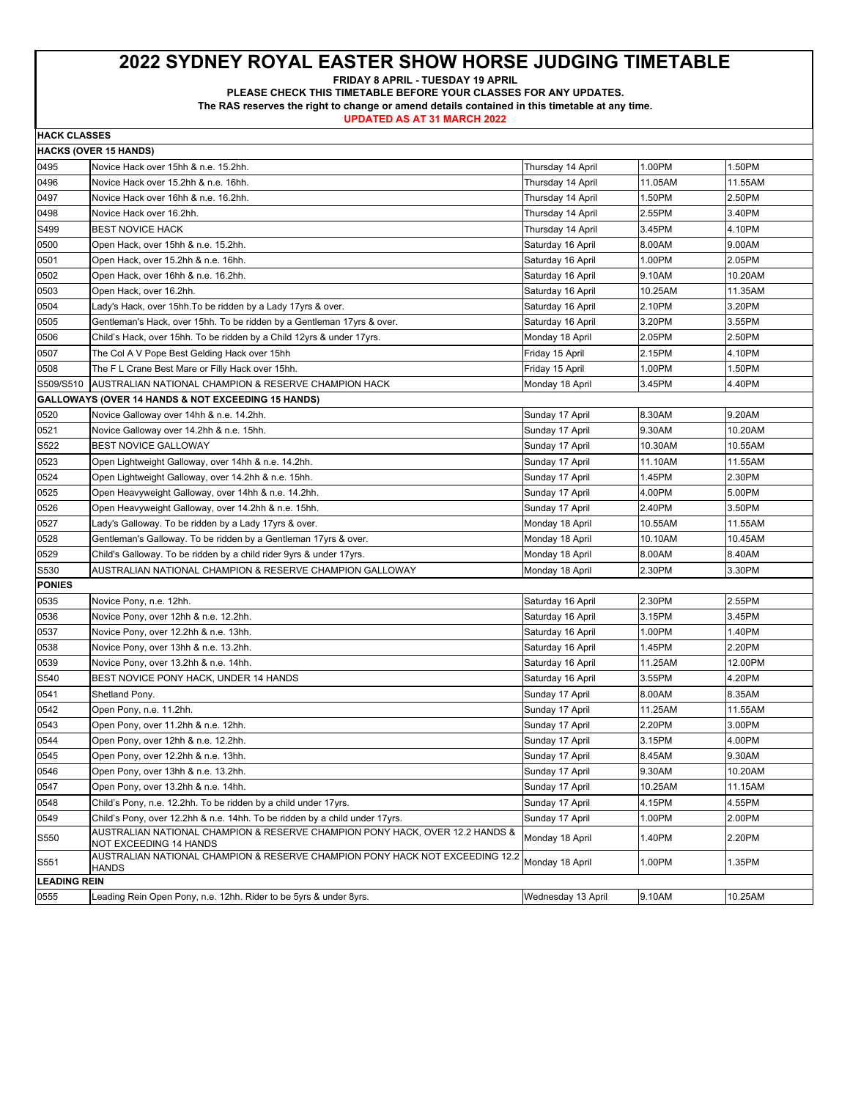**FRIDAY 8 APRIL - TUESDAY 19 APRIL** 

**PLEASE CHECK THIS TIMETABLE BEFORE YOUR CLASSES FOR ANY UPDATES.** 

**The RAS reserves the right to change or amend details contained in this timetable at any time.** 

| <b>HACK CLASSES</b> |                                                                                                        |                    |         |         |
|---------------------|--------------------------------------------------------------------------------------------------------|--------------------|---------|---------|
|                     | <b>HACKS (OVER 15 HANDS)</b>                                                                           |                    |         |         |
| 0495                | Novice Hack over 15hh & n.e. 15.2hh.                                                                   | Thursday 14 April  | 1.00PM  | 1.50PM  |
| 0496                | Novice Hack over 15.2hh & n.e. 16hh.                                                                   | Thursday 14 April  | 11.05AM | 11.55AM |
| 0497                | Novice Hack over 16hh & n.e. 16.2hh.                                                                   | Thursday 14 April  | 1.50PM  | 2.50PM  |
| 0498                | Novice Hack over 16.2hh.                                                                               | Thursday 14 April  | 2.55PM  | 3.40PM  |
| S499                | <b>BEST NOVICE HACK</b>                                                                                | Thursday 14 April  | 3.45PM  | 4.10PM  |
| 0500                | Open Hack, over 15hh & n.e. 15.2hh.                                                                    | Saturday 16 April  | 8.00AM  | 9.00AM  |
| 0501                | Open Hack, over 15.2hh & n.e. 16hh.                                                                    | Saturday 16 April  | 1.00PM  | 2.05PM  |
| 0502                | Open Hack, over 16hh & n.e. 16.2hh.                                                                    | Saturday 16 April  | 9.10AM  | 10.20AM |
| 0503                | Open Hack, over 16.2hh.                                                                                | Saturday 16 April  | 10.25AM | 11.35AM |
| 0504                | Lady's Hack, over 15hh.To be ridden by a Lady 17yrs & over.                                            | Saturday 16 April  | 2.10PM  | 3.20PM  |
| 0505                | Gentleman's Hack, over 15hh. To be ridden by a Gentleman 17yrs & over.                                 | Saturday 16 April  | 3.20PM  | 3.55PM  |
| 0506                | Child's Hack, over 15hh. To be ridden by a Child 12yrs & under 17yrs.                                  | Monday 18 April    | 2.05PM  | 2.50PM  |
| 0507                | The Col A V Pope Best Gelding Hack over 15hh                                                           | Friday 15 April    | 2.15PM  | 4.10PM  |
| 0508                | The F L Crane Best Mare or Filly Hack over 15hh.                                                       | Friday 15 April    | 1.00PM  | 1.50PM  |
| S509/S510           | AUSTRALIAN NATIONAL CHAMPION & RESERVE CHAMPION HACK                                                   | Monday 18 April    | 3.45PM  | 4.40PM  |
|                     | GALLOWAYS (OVER 14 HANDS & NOT EXCEEDING 15 HANDS)                                                     |                    |         |         |
| 0520                | Novice Galloway over 14hh & n.e. 14.2hh.                                                               | Sunday 17 April    | 8.30AM  | 9.20AM  |
| 0521                | Novice Galloway over 14.2hh & n.e. 15hh.                                                               | Sunday 17 April    | 9.30AM  | 10.20AM |
| S522                | <b>BEST NOVICE GALLOWAY</b>                                                                            | Sunday 17 April    | 10.30AM | 10.55AM |
| 0523                | Open Lightweight Galloway, over 14hh & n.e. 14.2hh.                                                    | Sunday 17 April    | 11.10AM | 11.55AM |
| 0524                | Open Lightweight Galloway, over 14.2hh & n.e. 15hh.                                                    | Sunday 17 April    | 1.45PM  | 2.30PM  |
| 0525                | Open Heavyweight Galloway, over 14hh & n.e. 14.2hh.                                                    | Sunday 17 April    | 4.00PM  | 5.00PM  |
| 0526                | Open Heavyweight Galloway, over 14.2hh & n.e. 15hh.                                                    | Sunday 17 April    | 2.40PM  | 3.50PM  |
| 0527                | Lady's Galloway. To be ridden by a Lady 17yrs & over.                                                  | Monday 18 April    | 10.55AM | 11.55AM |
| 0528                | Gentleman's Galloway. To be ridden by a Gentleman 17yrs & over.                                        | Monday 18 April    | 10.10AM | 10.45AM |
| 0529                | Child's Galloway. To be ridden by a child rider 9yrs & under 17yrs.                                    | Monday 18 April    | 8.00AM  | 8.40AM  |
| S530                | AUSTRALIAN NATIONAL CHAMPION & RESERVE CHAMPION GALLOWAY                                               | Monday 18 April    | 2.30PM  | 3.30PM  |
| <b>PONIES</b>       |                                                                                                        |                    |         |         |
| 0535                | Novice Pony, n.e. 12hh.                                                                                | Saturday 16 April  | 2.30PM  | 2.55PM  |
| 0536                | Novice Pony, over 12hh & n.e. 12.2hh.                                                                  | Saturday 16 April  | 3.15PM  | 3.45PM  |
| 0537                | Novice Pony, over 12.2hh & n.e. 13hh.                                                                  | Saturday 16 April  | 1.00PM  | 1.40PM  |
| 0538                | Novice Pony, over 13hh & n.e. 13.2hh.                                                                  | Saturday 16 April  | 1.45PM  | 2.20PM  |
| 0539                | Novice Pony, over 13.2hh & n.e. 14hh.                                                                  | Saturday 16 April  | 11.25AM | 12.00PM |
| S540                | BEST NOVICE PONY HACK, UNDER 14 HANDS                                                                  | Saturday 16 April  | 3.55PM  | 4.20PM  |
| 0541                | Shetland Pony.                                                                                         | Sunday 17 April    | 8.00AM  | 8.35AM  |
| 0542                | Open Pony, n.e. 11.2hh.                                                                                | Sunday 17 April    | 11.25AM | 11.55AM |
| 0543                | Open Pony, over 11.2hh & n.e. 12hh.                                                                    | Sunday 17 April    | 2.20PM  | 3.00PM  |
| 0544                | Open Pony, over 12hh & n.e. 12.2hh.                                                                    | Sunday 17 April    | 3.15PM  | 4.00PM  |
| 0545                | Open Pony, over 12.2hh & n.e. 13hh.                                                                    | Sunday 17 April    | 8.45AM  | 9.30AM  |
| 0546                | Open Pony, over 13hh & n.e. 13.2hh.                                                                    | Sunday 17 April    | 9.30AM  | 10.20AM |
| 0547                | Open Pony, over 13.2hh & n.e. 14hh.                                                                    | Sunday 17 April    | 10.25AM | 11.15AM |
| 0548                | Child's Pony, n.e. 12.2hh. To be ridden by a child under 17yrs.                                        | Sunday 17 April    | 4.15PM  | 4.55PM  |
| 0549                | Child's Pony, over 12.2hh & n.e. 14hh. To be ridden by a child under 17yrs.                            | Sunday 17 April    | 1.00PM  | 2.00PM  |
| S550                | AUSTRALIAN NATIONAL CHAMPION & RESERVE CHAMPION PONY HACK, OVER 12.2 HANDS &<br>NOT EXCEEDING 14 HANDS | Monday 18 April    | 1.40PM  | 2.20PM  |
| S551                | AUSTRALIAN NATIONAL CHAMPION & RESERVE CHAMPION PONY HACK NOT EXCEEDING 12.2<br><b>HANDS</b>           | Monday 18 April    | 1.00PM  | 1.35PM  |
| <b>LEADING REIN</b> |                                                                                                        |                    |         |         |
| 0555                | Leading Rein Open Pony, n.e. 12hh. Rider to be 5yrs & under 8yrs.                                      | Wednesday 13 April | 9.10AM  | 10.25AM |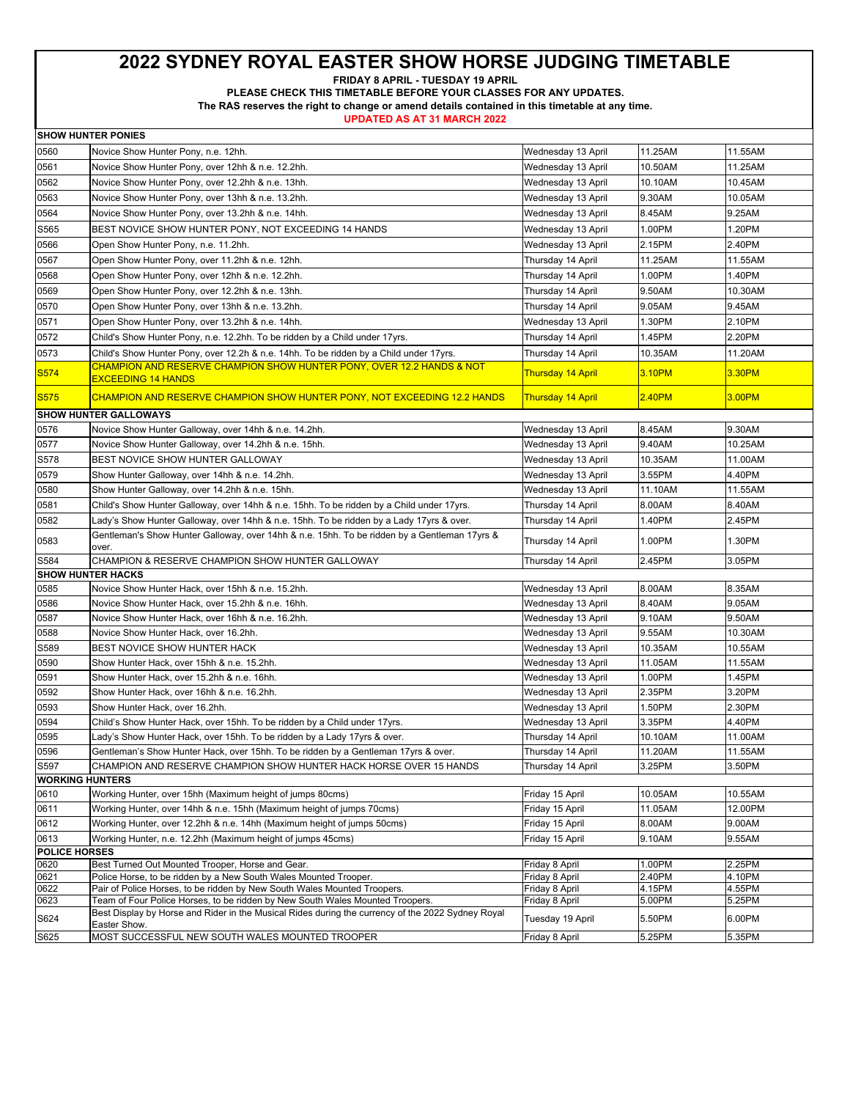**FRIDAY 8 APRIL - TUESDAY 19 APRIL** 

**PLEASE CHECK THIS TIMETABLE BEFORE YOUR CLASSES FOR ANY UPDATES.** 

**The RAS reserves the right to change or amend details contained in this timetable at any time.** 

| <b>SHOW HUNTER PONIES</b> |                                                                                                                                                                                    |                                         |         |         |
|---------------------------|------------------------------------------------------------------------------------------------------------------------------------------------------------------------------------|-----------------------------------------|---------|---------|
| 0560                      | Novice Show Hunter Pony, n.e. 12hh.                                                                                                                                                | Wednesday 13 April                      | 11.25AM | 11.55AM |
| 0561                      | Novice Show Hunter Pony, over 12hh & n.e. 12.2hh.                                                                                                                                  | Wednesday 13 April                      | 10.50AM | 11.25AM |
| 0562                      | Novice Show Hunter Pony, over 12.2hh & n.e. 13hh.                                                                                                                                  | Wednesday 13 April                      | 10.10AM | 10.45AM |
| 0563                      | Novice Show Hunter Pony, over 13hh & n.e. 13.2hh.                                                                                                                                  | Wednesday 13 April                      | 9.30AM  | 10.05AM |
| 0564                      | Novice Show Hunter Pony, over 13.2hh & n.e. 14hh.                                                                                                                                  | Wednesday 13 April                      | 8.45AM  | 9.25AM  |
| S565                      | BEST NOVICE SHOW HUNTER PONY, NOT EXCEEDING 14 HANDS                                                                                                                               | Wednesday 13 April                      | 1.00PM  | 1.20PM  |
| 0566                      |                                                                                                                                                                                    |                                         | 2.15PM  | 2.40PM  |
| 0567                      | Open Show Hunter Pony, n.e. 11.2hh.<br>Open Show Hunter Pony, over 11.2hh & n.e. 12hh.                                                                                             | Wednesday 13 April<br>Thursday 14 April | 11.25AM | 11.55AM |
| 0568                      | Open Show Hunter Pony, over 12hh & n.e. 12.2hh.                                                                                                                                    | Thursday 14 April                       | 1.00PM  | 1.40PM  |
| 0569                      | Open Show Hunter Pony, over 12.2hh & n.e. 13hh.                                                                                                                                    | Thursday 14 April                       | 9.50AM  | 10.30AM |
| 0570                      |                                                                                                                                                                                    |                                         | 9.05AM  | 9.45AM  |
|                           | Open Show Hunter Pony, over 13hh & n.e. 13.2hh.                                                                                                                                    | Thursday 14 April                       |         |         |
| 0571                      | Open Show Hunter Pony, over 13.2hh & n.e. 14hh.                                                                                                                                    | Wednesday 13 April                      | 1.30PM  | 2.10PM  |
| 0572                      | Child's Show Hunter Pony, n.e. 12.2hh. To be ridden by a Child under 17yrs.                                                                                                        | Thursday 14 April                       | 1.45PM  | 2.20PM  |
| 0573                      | Child's Show Hunter Pony, over 12.2h & n.e. 14hh. To be ridden by a Child under 17yrs.                                                                                             | Thursday 14 April                       | 10.35AM | 11.20AM |
| S <sub>574</sub>          | CHAMPION AND RESERVE CHAMPION SHOW HUNTER PONY, OVER 12.2 HANDS & NOT<br><u>EXCEEDING 14 HANDS</u>                                                                                 | <b>Thursday 14 April</b>                | 3.10PM  | 3.30PM  |
| <b>S575</b>               | <u>CHAMPION AND RESERVE CHAMPION SHOW HUNTER PONY, NOT EXCEEDING 12.2 HANDS</u>                                                                                                    | <b>Thursday 14 April</b>                | 2.40PM  | 3.00PM  |
|                           | <b>SHOW HUNTER GALLOWAYS</b>                                                                                                                                                       |                                         |         |         |
| 0576                      | Novice Show Hunter Galloway, over 14hh & n.e. 14.2hh.                                                                                                                              | Wednesday 13 April                      | 8.45AM  | 9.30AM  |
| 0577                      | Novice Show Hunter Galloway, over 14.2hh & n.e. 15hh.                                                                                                                              | Wednesday 13 April                      | 9.40AM  | 10.25AM |
| S578                      | BEST NOVICE SHOW HUNTER GALLOWAY                                                                                                                                                   | Wednesday 13 April                      | 10.35AM | 11.00AM |
| 0579                      | Show Hunter Galloway, over 14hh & n.e. 14.2hh.                                                                                                                                     | Wednesday 13 April                      | 3.55PM  | 4.40PM  |
| 0580                      | Show Hunter Galloway, over 14.2hh & n.e. 15hh.                                                                                                                                     | Wednesday 13 April                      | 11.10AM | 11.55AM |
| 0581                      | Child's Show Hunter Galloway, over 14hh & n.e. 15hh. To be ridden by a Child under 17yrs.                                                                                          | Thursday 14 April                       | 8.00AM  | 8.40AM  |
| 0582                      | Lady's Show Hunter Galloway, over 14hh & n.e. 15hh. To be ridden by a Lady 17yrs & over.                                                                                           | Thursday 14 April                       | 1.40PM  | 2.45PM  |
| 0583                      | Gentleman's Show Hunter Galloway, over 14hh & n.e. 15hh. To be ridden by a Gentleman 17yrs &<br>over.                                                                              | Thursday 14 April                       | 1.00PM  | 1.30PM  |
| S584                      | CHAMPION & RESERVE CHAMPION SHOW HUNTER GALLOWAY                                                                                                                                   | Thursday 14 April                       | 2.45PM  | 3.05PM  |
|                           | <b>SHOW HUNTER HACKS</b>                                                                                                                                                           |                                         |         |         |
| 0585                      | Novice Show Hunter Hack, over 15hh & n.e. 15.2hh.                                                                                                                                  | Wednesday 13 April                      | 8.00AM  | 8.35AM  |
| 0586                      | Novice Show Hunter Hack, over 15.2hh & n.e. 16hh.                                                                                                                                  | Wednesday 13 April                      | 8.40AM  | 9.05AM  |
| 0587                      | Novice Show Hunter Hack, over 16hh & n.e. 16.2hh.                                                                                                                                  | Wednesday 13 April                      | 9.10AM  | 9.50AM  |
| 0588                      | Novice Show Hunter Hack, over 16.2hh.                                                                                                                                              | Wednesday 13 April                      | 9.55AM  | 10.30AM |
| S589                      | BEST NOVICE SHOW HUNTER HACK                                                                                                                                                       | Wednesday 13 April                      | 10.35AM | 10.55AM |
| 0590                      | Show Hunter Hack, over 15hh & n.e. 15.2hh.                                                                                                                                         | Wednesday 13 April                      | 11.05AM | 11.55AM |
| 0591                      | Show Hunter Hack, over 15.2hh & n.e. 16hh.                                                                                                                                         | Wednesday 13 April                      | 1.00PM  | 1.45PM  |
| 0592                      | Show Hunter Hack, over 16hh & n.e. 16.2hh.                                                                                                                                         | Wednesday 13 April                      | 2.35PM  | 3.20PM  |
| 0593                      | Show Hunter Hack, over 16.2hh.                                                                                                                                                     | Wednesday 13 April                      | 1.50PM  | 2.30PM  |
| 0594                      | Child's Show Hunter Hack, over 15hh. To be ridden by a Child under 17yrs.                                                                                                          | Wednesday 13 April                      | 3.35PM  | 4.40PM  |
| 0595                      | Lady's Show Hunter Hack, over 15hh. To be ridden by a Lady 17yrs & over.                                                                                                           | Thursday 14 April                       | 10.10AM | 11.00AM |
| 0596                      | Gentleman's Show Hunter Hack, over 15hh. To be ridden by a Gentleman 17yrs & over.                                                                                                 | Thursday 14 April                       | 11.20AM | 11.55AM |
| S597                      | CHAMPION AND RESERVE CHAMPION SHOW HUNTER HACK HORSE OVER 15 HANDS                                                                                                                 | Thursday 14 April                       | 3.25PM  | 3.50PM  |
| <b>WORKING HUNTERS</b>    |                                                                                                                                                                                    |                                         |         |         |
| 0610                      | Working Hunter, over 15hh (Maximum height of jumps 80cms)                                                                                                                          | Friday 15 April                         | 10.05AM | 10.55AM |
| 0611                      | Working Hunter, over 14hh & n.e. 15hh (Maximum height of jumps 70cms)                                                                                                              | Friday 15 April                         | 11.05AM | 12.00PM |
| 0612                      | Working Hunter, over 12.2hh & n.e. 14hh (Maximum height of jumps 50cms)                                                                                                            | Friday 15 April                         | 8.00AM  | 9.00AM  |
| 0613                      | Working Hunter, n.e. 12.2hh (Maximum height of jumps 45cms)                                                                                                                        | Friday 15 April                         | 9.10AM  | 9.55AM  |
| <b>POLICE HORSES</b>      |                                                                                                                                                                                    |                                         |         |         |
| 0620                      | Best Turned Out Mounted Trooper, Horse and Gear.                                                                                                                                   | Friday 8 April                          | 1.00PM  | 2.25PM  |
| 0621                      | Police Horse, to be ridden by a New South Wales Mounted Trooper.                                                                                                                   | Friday 8 April                          | 2.40PM  | 4.10PM  |
| 0622                      | Pair of Police Horses, to be ridden by New South Wales Mounted Troopers.                                                                                                           | Friday 8 April                          | 4.15PM  | 4.55PM  |
| 0623                      | Team of Four Police Horses, to be ridden by New South Wales Mounted Troopers.<br>Best Display by Horse and Rider in the Musical Rides during the currency of the 2022 Sydney Royal | Friday 8 April                          | 5.00PM  | 5.25PM  |
| S624                      | Easter Show.                                                                                                                                                                       | Tuesday 19 April                        | 5.50PM  | 6.00PM  |
| S625                      | MOST SUCCESSFUL NEW SOUTH WALES MOUNTED TROOPER                                                                                                                                    | Friday 8 April                          | 5.25PM  | 5.35PM  |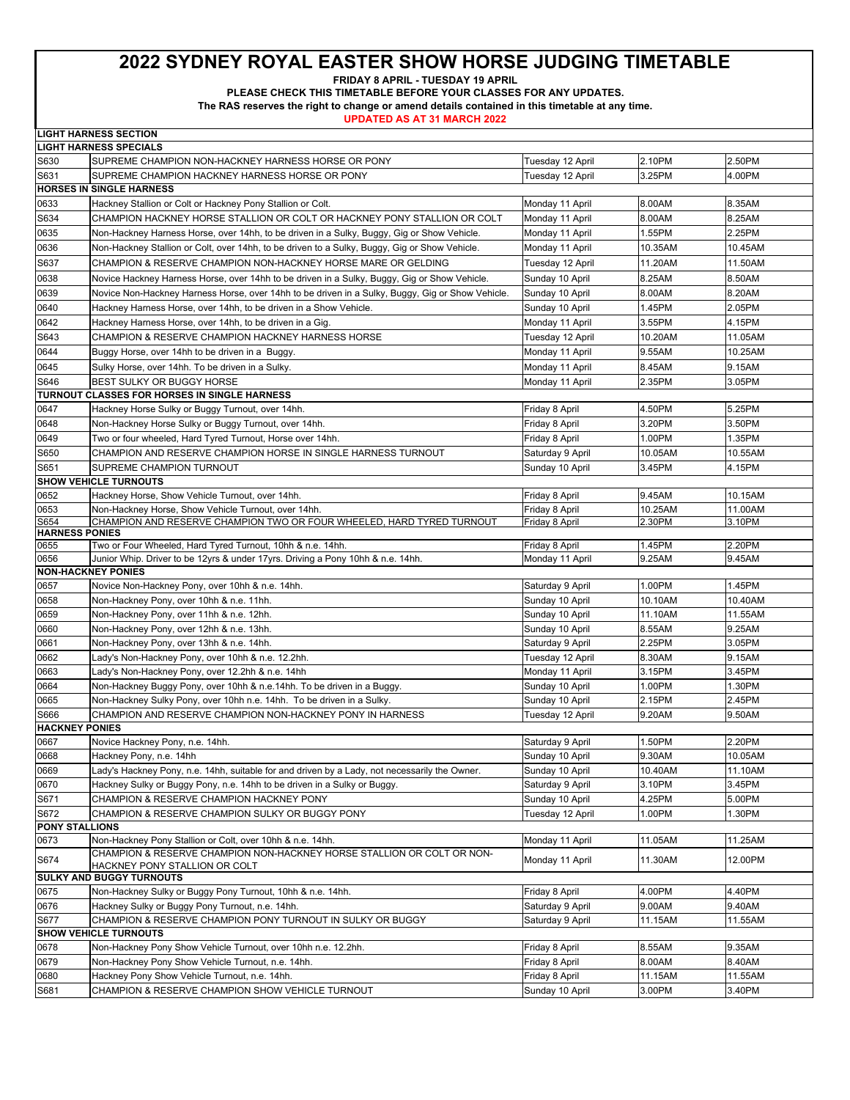**FRIDAY 8 APRIL - TUESDAY 19 APRIL** 

**PLEASE CHECK THIS TIMETABLE BEFORE YOUR CLASSES FOR ANY UPDATES.** 

**The RAS reserves the right to change or amend details contained in this timetable at any time.** 

|                       | <b>LIGHT HARNESS SECTION</b>                                                                     |                  |         |         |
|-----------------------|--------------------------------------------------------------------------------------------------|------------------|---------|---------|
|                       | <b>LIGHT HARNESS SPECIALS</b>                                                                    |                  |         |         |
| S630                  | SUPREME CHAMPION NON-HACKNEY HARNESS HORSE OR PONY                                               | Tuesday 12 April | 2.10PM  | 2.50PM  |
| S631                  | SUPREME CHAMPION HACKNEY HARNESS HORSE OR PONY                                                   | Tuesday 12 April | 3.25PM  | 4.00PM  |
|                       | HORSES IN SINGLE HARNESS                                                                         |                  |         |         |
| 0633                  | Hackney Stallion or Colt or Hackney Pony Stallion or Colt.                                       | Monday 11 April  | 8.00AM  | 8.35AM  |
| S634                  | CHAMPION HACKNEY HORSE STALLION OR COLT OR HACKNEY PONY STALLION OR COLT                         | Monday 11 April  | 8.00AM  | 8.25AM  |
| 0635                  | Non-Hackney Harness Horse, over 14hh, to be driven in a Sulky, Buggy, Gig or Show Vehicle.       | Monday 11 April  | 1.55PM  | 2.25PM  |
| 0636                  | Non-Hackney Stallion or Colt, over 14hh, to be driven to a Sulky, Buggy, Gig or Show Vehicle.    | Monday 11 April  | 10.35AM | 10.45AM |
| S637                  | CHAMPION & RESERVE CHAMPION NON-HACKNEY HORSE MARE OR GELDING                                    |                  | 11.20AM | 11.50AM |
|                       |                                                                                                  | Tuesday 12 April |         |         |
| 0638                  | Novice Hackney Harness Horse, over 14hh to be driven in a Sulky, Buggy, Gig or Show Vehicle.     | Sunday 10 April  | 8.25AM  | 8.50AM  |
| 0639                  | Novice Non-Hackney Harness Horse, over 14hh to be driven in a Sulky, Buggy, Gig or Show Vehicle. | Sunday 10 April  | 8.00AM  | 8.20AM  |
| 0640                  | Hackney Harness Horse, over 14hh, to be driven in a Show Vehicle.                                | Sunday 10 April  | 1.45PM  | 2.05PM  |
| 0642                  | Hackney Harness Horse, over 14hh, to be driven in a Gig.                                         | Monday 11 April  | 3.55PM  | 4.15PM  |
| S643                  | CHAMPION & RESERVE CHAMPION HACKNEY HARNESS HORSE                                                | Tuesday 12 April | 10.20AM | 11.05AM |
| 0644                  | Buggy Horse, over 14hh to be driven in a Buggy.                                                  | Monday 11 April  | 9.55AM  | 10.25AM |
| 0645                  | Sulky Horse, over 14hh. To be driven in a Sulky.                                                 | Monday 11 April  | 8.45AM  | 9.15AM  |
| S646                  | BEST SULKY OR BUGGY HORSE                                                                        | Monday 11 April  | 2.35PM  | 3.05PM  |
|                       | TURNOUT CLASSES FOR HORSES IN SINGLE HARNESS                                                     |                  |         |         |
| 0647                  | Hackney Horse Sulky or Buggy Turnout, over 14hh.                                                 | Friday 8 April   | 4.50PM  | 5.25PM  |
| 0648                  | Non-Hackney Horse Sulky or Buggy Turnout, over 14hh.                                             | Friday 8 April   | 3.20PM  | 3.50PM  |
| 0649                  | Two or four wheeled, Hard Tyred Turnout, Horse over 14hh.                                        | Friday 8 April   | 1.00PM  | 1.35PM  |
| S650                  | CHAMPION AND RESERVE CHAMPION HORSE IN SINGLE HARNESS TURNOUT                                    | Saturday 9 April | 10.05AM | 10.55AM |
| S651                  | SUPREME CHAMPION TURNOUT                                                                         | Sunday 10 April  | 3.45PM  | 4.15PM  |
|                       | <b>SHOW VEHICLE TURNOUTS</b>                                                                     |                  |         |         |
| 0652                  | Hackney Horse, Show Vehicle Turnout, over 14hh.                                                  | Friday 8 April   | 9.45AM  | 10.15AM |
| 0653                  | Non-Hackney Horse, Show Vehicle Turnout, over 14hh.                                              | Friday 8 April   | 10.25AM | 11.00AM |
| S654                  | CHAMPION AND RESERVE CHAMPION TWO OR FOUR WHEELED, HARD TYRED TURNOUT                            | Friday 8 April   | 2.30PM  | 3.10PM  |
| <b>HARNESS PONIES</b> |                                                                                                  |                  |         |         |
| 0655                  | Two or Four Wheeled, Hard Tyred Turnout, 10hh & n.e. 14hh.                                       | Friday 8 April   | 1.45PM  | 2.20PM  |
| 0656                  | Junior Whip. Driver to be 12yrs & under 17yrs. Driving a Pony 10hh & n.e. 14hh.                  | Monday 11 April  | 9.25AM  | 9.45AM  |
|                       | <b>NON-HACKNEY PONIES</b>                                                                        |                  |         |         |
| 0657                  | Novice Non-Hackney Pony, over 10hh & n.e. 14hh.                                                  | Saturday 9 April | 1.00PM  | 1.45PM  |
| 0658                  | Non-Hackney Pony, over 10hh & n.e. 11hh.                                                         | Sunday 10 April  | 10.10AM | 10.40AM |
| 0659                  | Non-Hackney Pony, over 11hh & n.e. 12hh.                                                         | Sunday 10 April  | 11.10AM | 11.55AM |
| 0660                  | Non-Hackney Pony, over 12hh & n.e. 13hh.                                                         | Sunday 10 April  | 8.55AM  | 9.25AM  |
| 0661                  | Non-Hackney Pony, over 13hh & n.e. 14hh.                                                         | Saturday 9 April | 2.25PM  | 3.05PM  |
| 0662                  | Lady's Non-Hackney Pony, over 10hh & n.e. 12.2hh.                                                | Tuesday 12 April | 8.30AM  | 9.15AM  |
| 0663                  | Lady's Non-Hackney Pony, over 12.2hh & n.e. 14hh                                                 | Monday 11 April  | 3.15PM  | 3.45PM  |
| 0664                  | Non-Hackney Buggy Pony, over 10hh & n.e.14hh. To be driven in a Buggy.                           | Sunday 10 April  | 1.00PM  | 1.30PM  |
| 0665                  | Non-Hackney Sulky Pony, over 10hh n.e. 14hh. To be driven in a Sulky.                            | Sunday 10 April  | 2.15PM  | 2.45PM  |
| S666                  | CHAMPION AND RESERVE CHAMPION NON-HACKNEY PONY IN HARNESS                                        | Tuesday 12 April | 9.20AM  | 9.50AM  |
| <b>HACKNEY PONIES</b> |                                                                                                  |                  |         |         |
| 0667                  | Novice Hackney Pony, n.e. 14hh.                                                                  | Saturday 9 April | 1.50PM  | 2.20PM  |
| 0668                  | Hackney Pony, n.e. 14hh                                                                          | Sunday 10 April  | 9.30AM  | 10.05AM |
| 0669                  | Lady's Hackney Pony, n.e. 14hh, suitable for and driven by a Lady, not necessarily the Owner.    | Sunday 10 April  | 10.40AM | 11.10AM |
| 0670                  | Hackney Sulky or Buggy Pony, n.e. 14hh to be driven in a Sulky or Buggy.                         | Saturday 9 April | 3.10PM  | 3.45PM  |
| S671                  | CHAMPION & RESERVE CHAMPION HACKNEY PONY                                                         | Sunday 10 April  | 4.25PM  | 5.00PM  |
| S672                  | CHAMPION & RESERVE CHAMPION SULKY OR BUGGY PONY                                                  | Tuesday 12 April | 1.00PM  | 1.30PM  |
| <b>PONY STALLIONS</b> |                                                                                                  |                  |         |         |
| 0673                  | Non-Hackney Pony Stallion or Colt, over 10hh & n.e. 14hh.                                        | Monday 11 April  | 11.05AM | 11.25AM |
|                       | CHAMPION & RESERVE CHAMPION NON-HACKNEY HORSE STALLION OR COLT OR NON-                           |                  |         |         |
| S674                  | HACKNEY PONY STALLION OR COLT                                                                    | Monday 11 April  | 11.30AM | 12.00PM |
|                       | <b>SULKY AND BUGGY TURNOUTS</b>                                                                  |                  |         |         |
| 0675                  | Non-Hackney Sulky or Buggy Pony Turnout, 10hh & n.e. 14hh.                                       | Friday 8 April   | 4.00PM  | 4.40PM  |
| 0676                  | Hackney Sulky or Buggy Pony Turnout, n.e. 14hh.                                                  | Saturday 9 April | 9.00AM  | 9.40AM  |
| S677                  | CHAMPION & RESERVE CHAMPION PONY TURNOUT IN SULKY OR BUGGY                                       | Saturday 9 April | 11.15AM | 11.55AM |
|                       | <b>SHOW VEHICLE TURNOUTS</b>                                                                     |                  |         |         |
| 0678                  | Non-Hackney Pony Show Vehicle Turnout, over 10hh n.e. 12.2hh.                                    | Friday 8 April   | 8.55AM  | 9.35AM  |
| 0679                  | Non-Hackney Pony Show Vehicle Turnout, n.e. 14hh.                                                | Friday 8 April   | 8.00AM  | 8.40AM  |
| 0680                  | Hackney Pony Show Vehicle Turnout, n.e. 14hh.                                                    | Friday 8 April   | 11.15AM | 11.55AM |
| S681                  | CHAMPION & RESERVE CHAMPION SHOW VEHICLE TURNOUT                                                 | Sunday 10 April  | 3.00PM  | 3.40PM  |
|                       |                                                                                                  |                  |         |         |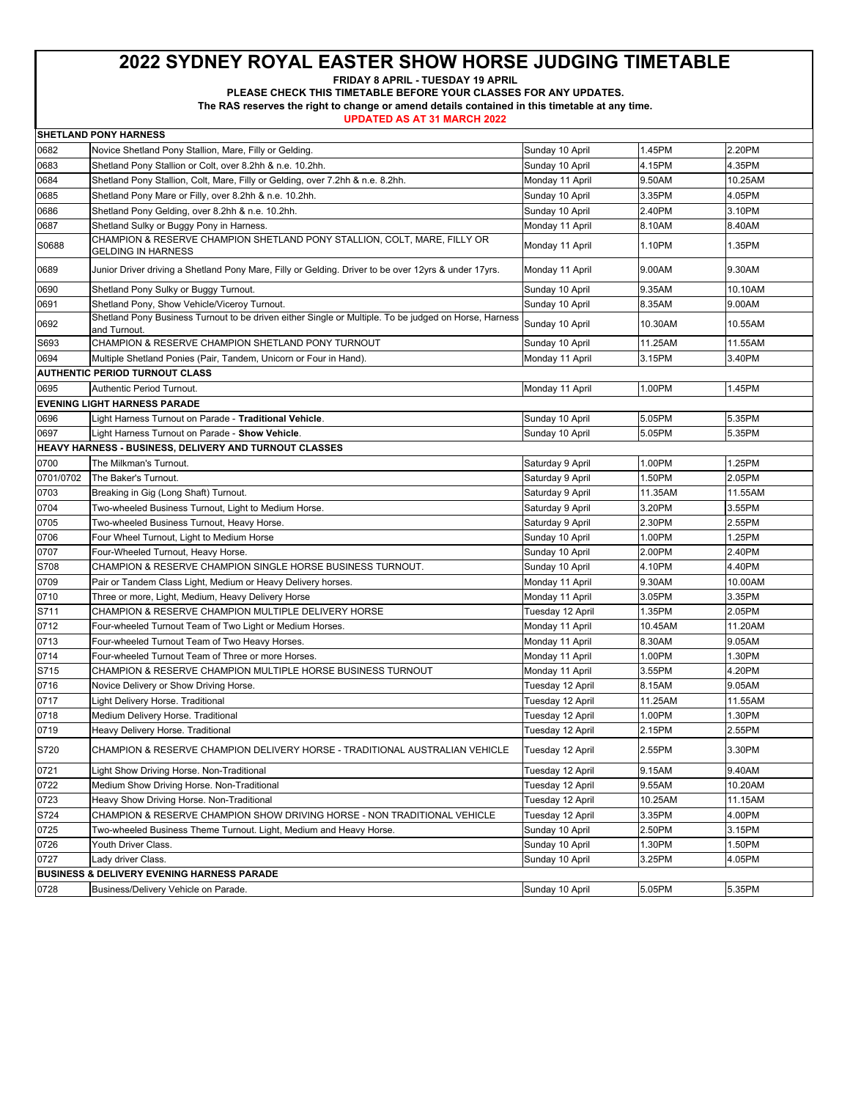**FRIDAY 8 APRIL - TUESDAY 19 APRIL** 

**PLEASE CHECK THIS TIMETABLE BEFORE YOUR CLASSES FOR ANY UPDATES.** 

**The RAS reserves the right to change or amend details contained in this timetable at any time.** 

|           | <b>SHETLAND PONY HARNESS</b>                                                                          |                  |         |         |
|-----------|-------------------------------------------------------------------------------------------------------|------------------|---------|---------|
| 0682      | Novice Shetland Pony Stallion, Mare, Filly or Gelding.                                                | Sunday 10 April  | 1.45PM  | 2.20PM  |
| 0683      | Shetland Pony Stallion or Colt, over 8.2hh & n.e. 10.2hh.                                             | Sunday 10 April  | 4.15PM  | 4.35PM  |
| 0684      | Shetland Pony Stallion, Colt, Mare, Filly or Gelding, over 7.2hh & n.e. 8.2hh.                        | Monday 11 April  | 9.50AM  | 10.25AM |
| 0685      | Shetland Pony Mare or Filly, over 8.2hh & n.e. 10.2hh.                                                | Sunday 10 April  | 3.35PM  | 4.05PM  |
| 0686      | Shetland Pony Gelding, over 8.2hh & n.e. 10.2hh.                                                      | Sunday 10 April  | 2.40PM  | 3.10PM  |
| 0687      | Shetland Sulky or Buggy Pony in Harness.                                                              | Monday 11 April  | 8.10AM  | 8.40AM  |
| S0688     | CHAMPION & RESERVE CHAMPION SHETLAND PONY STALLION, COLT, MARE, FILLY OR<br><b>GELDING IN HARNESS</b> | Monday 11 April  | 1.10PM  | 1.35PM  |
| 0689      | Junior Driver driving a Shetland Pony Mare, Filly or Gelding. Driver to be over 12yrs & under 17yrs.  | Monday 11 April  | 9.00AM  | 9.30AM  |
| 0690      | Shetland Pony Sulky or Buggy Turnout.                                                                 | Sunday 10 April  | 9.35AM  | 10.10AM |
| 0691      | Shetland Pony, Show Vehicle/Viceroy Turnout.                                                          | Sunday 10 April  | 8.35AM  | 9.00AM  |
| 0692      | Shetland Pony Business Turnout to be driven either Single or Multiple. To be judged on Horse, Harness | Sunday 10 April  | 10.30AM | 10.55AM |
|           | and Turnout.                                                                                          |                  |         |         |
| S693      | CHAMPION & RESERVE CHAMPION SHETLAND PONY TURNOUT                                                     | Sunday 10 April  | 11.25AM | 11.55AM |
| 0694      | Multiple Shetland Ponies (Pair, Tandem, Unicorn or Four in Hand).                                     | Monday 11 April  | 3.15PM  | 3.40PM  |
|           | <b>AUTHENTIC PERIOD TURNOUT CLASS</b>                                                                 |                  |         |         |
| 0695      | Authentic Period Turnout.                                                                             | Monday 11 April  | 1.00PM  | 1.45PM  |
|           | <b>EVENING LIGHT HARNESS PARADE</b>                                                                   |                  |         |         |
| 0696      | Light Harness Turnout on Parade - Traditional Vehicle.                                                | Sunday 10 April  | 5.05PM  | 5.35PM  |
| 0697      | Light Harness Turnout on Parade - Show Vehicle.                                                       | Sunday 10 April  | 5.05PM  | 5.35PM  |
|           | HEAVY HARNESS - BUSINESS, DELIVERY AND TURNOUT CLASSES                                                |                  |         |         |
| 0700      | The Milkman's Turnout.                                                                                | Saturday 9 April | 1.00PM  | 1.25PM  |
| 0701/0702 | The Baker's Turnout.                                                                                  | Saturday 9 April | 1.50PM  | 2.05PM  |
| 0703      | Breaking in Gig (Long Shaft) Turnout.                                                                 | Saturday 9 April | 11.35AM | 11.55AM |
| 0704      | Two-wheeled Business Turnout, Light to Medium Horse.                                                  | Saturday 9 April | 3.20PM  | 3.55PM  |
| 0705      | Two-wheeled Business Turnout, Heavy Horse.                                                            | Saturday 9 April | 2.30PM  | 2.55PM  |
| 0706      | Four Wheel Turnout, Light to Medium Horse                                                             | Sunday 10 April  | 1.00PM  | 1.25PM  |
| 0707      | Four-Wheeled Turnout, Heavy Horse.                                                                    | Sunday 10 April  | 2.00PM  | 2.40PM  |
| S708      | CHAMPION & RESERVE CHAMPION SINGLE HORSE BUSINESS TURNOUT.                                            | Sunday 10 April  | 4.10PM  | 4.40PM  |
| 0709      | Pair or Tandem Class Light, Medium or Heavy Delivery horses.                                          | Monday 11 April  | 9.30AM  | 10.00AM |
| 0710      | Three or more, Light, Medium, Heavy Delivery Horse                                                    | Monday 11 April  | 3.05PM  | 3.35PM  |
| S711      | CHAMPION & RESERVE CHAMPION MULTIPLE DELIVERY HORSE                                                   | Tuesday 12 April | 1.35PM  | 2.05PM  |
| 0712      | Four-wheeled Turnout Team of Two Light or Medium Horses.                                              | Monday 11 April  | 10.45AM | 11.20AM |
| 0713      | Four-wheeled Turnout Team of Two Heavy Horses.                                                        | Monday 11 April  | 8.30AM  | 9.05AM  |
| 0714      | Four-wheeled Turnout Team of Three or more Horses.                                                    | Monday 11 April  | 1.00PM  | 1.30PM  |
| S715      | CHAMPION & RESERVE CHAMPION MULTIPLE HORSE BUSINESS TURNOUT                                           | Monday 11 April  | 3.55PM  | 4.20PM  |
| 0716      | Novice Delivery or Show Driving Horse.                                                                | Tuesday 12 April | 8.15AM  | 9.05AM  |
| 0717      | Light Delivery Horse. Traditional                                                                     | Tuesday 12 April | 11.25AM | 11.55AM |
| 0718      | Medium Delivery Horse. Traditional                                                                    | Tuesday 12 April | 1.00PM  | 1.30PM  |
| 0719      | Heavy Delivery Horse. Traditional                                                                     | Tuesday 12 April | 2.15PM  | 2.55PM  |
| S720      | CHAMPION & RESERVE CHAMPION DELIVERY HORSE - TRADITIONAL AUSTRALIAN VEHICLE                           | Tuesday 12 April | 2.55PM  | 3.30PM  |
| 0721      | Light Show Driving Horse. Non-Traditional                                                             | Tuesday 12 April | 9.15AM  | 9.40AM  |
| 0722      | Medium Show Driving Horse. Non-Traditional                                                            | Tuesday 12 April | 9.55AM  | 10.20AM |
| 0723      | Heavy Show Driving Horse. Non-Traditional                                                             | Tuesday 12 April | 10.25AM | 11.15AM |
| S724      | CHAMPION & RESERVE CHAMPION SHOW DRIVING HORSE - NON TRADITIONAL VEHICLE                              | Tuesday 12 April | 3.35PM  | 4.00PM  |
| 0725      | Two-wheeled Business Theme Turnout. Light, Medium and Heavy Horse.                                    | Sunday 10 April  | 2.50PM  | 3.15PM  |
| 0726      | Youth Driver Class.                                                                                   | Sunday 10 April  | 1.30PM  | 1.50PM  |
| 0727      | Lady driver Class.                                                                                    | Sunday 10 April  | 3.25PM  | 4.05PM  |
|           | <b>BUSINESS &amp; DELIVERY EVENING HARNESS PARADE</b>                                                 |                  |         |         |
| 0728      | Business/Delivery Vehicle on Parade.                                                                  | Sunday 10 April  | 5.05PM  | 5.35PM  |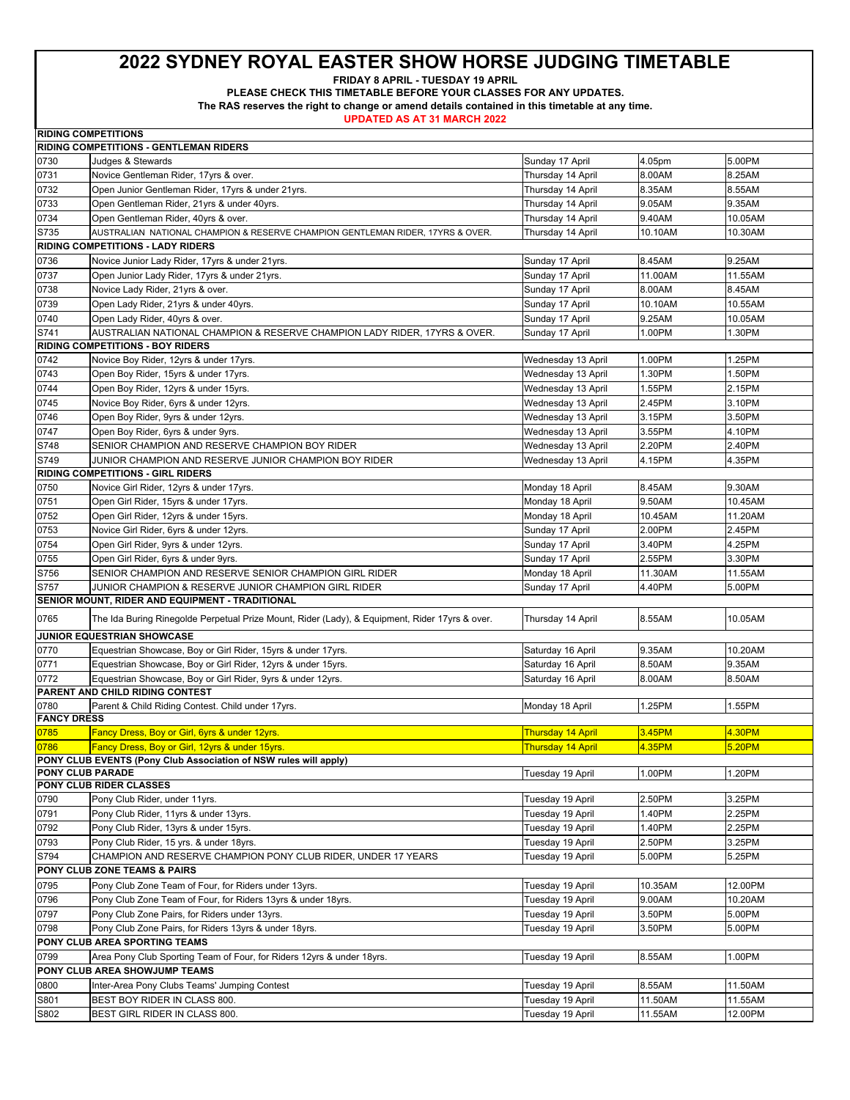**FRIDAY 8 APRIL - TUESDAY 19 APRIL** 

**PLEASE CHECK THIS TIMETABLE BEFORE YOUR CLASSES FOR ANY UPDATES.** 

**The RAS reserves the right to change or amend details contained in this timetable at any time.** 

|                    | <b>RIDING COMPETITIONS</b>                                                                             |                          |         |         |
|--------------------|--------------------------------------------------------------------------------------------------------|--------------------------|---------|---------|
|                    | <b>RIDING COMPETITIONS - GENTLEMAN RIDERS</b>                                                          |                          |         |         |
| 0730               | Judges & Stewards                                                                                      | Sunday 17 April          | 4.05pm  | 5.00PM  |
| 0731               | Novice Gentleman Rider, 17yrs & over.                                                                  | Thursday 14 April        | 8.00AM  | 8.25AM  |
| 0732               | Open Junior Gentleman Rider, 17yrs & under 21yrs.                                                      | Thursday 14 April        | 8.35AM  | 8.55AM  |
| 0733               | Open Gentleman Rider, 21yrs & under 40yrs.                                                             | Thursday 14 April        | 9.05AM  | 9.35AM  |
| 0734               | Open Gentleman Rider, 40yrs & over.                                                                    | Thursday 14 April        | 9.40AM  | 10.05AM |
| S735               | AUSTRALIAN NATIONAL CHAMPION & RESERVE CHAMPION GENTLEMAN RIDER, 17YRS & OVER.                         | Thursday 14 April        | 10.10AM | 10.30AM |
|                    | <b>RIDING COMPETITIONS - LADY RIDERS</b>                                                               |                          |         |         |
| 0736               | Novice Junior Lady Rider, 17yrs & under 21yrs.                                                         | Sunday 17 April          | 8.45AM  | 9.25AM  |
| 0737               | Open Junior Lady Rider, 17yrs & under 21yrs.                                                           | Sunday 17 April          | 11.00AM | 11.55AM |
| 0738               | Novice Lady Rider, 21yrs & over.                                                                       | Sunday 17 April          | 8.00AM  | 8.45AM  |
| 0739               | Open Lady Rider, 21yrs & under 40yrs.                                                                  | Sunday 17 April          | 10.10AM | 10.55AM |
| 0740               | Open Lady Rider, 40yrs & over.                                                                         | Sunday 17 April          | 9.25AM  | 10.05AM |
| S741               | AUSTRALIAN NATIONAL CHAMPION & RESERVE CHAMPION LADY RIDER, 17YRS & OVER.                              | Sunday 17 April          | 1.00PM  | 1.30PM  |
|                    | <b>RIDING COMPETITIONS - BOY RIDERS</b>                                                                |                          |         |         |
| 0742               | Novice Boy Rider, 12yrs & under 17yrs.                                                                 | Wednesday 13 April       | 1.00PM  | 1.25PM  |
| 0743               | Open Boy Rider, 15yrs & under 17yrs.                                                                   | Wednesday 13 April       | 1.30PM  | 1.50PM  |
| 0744               | Open Boy Rider, 12yrs & under 15yrs.                                                                   | Wednesday 13 April       | 1.55PM  | 2.15PM  |
| 0745               | Novice Boy Rider, 6yrs & under 12yrs.                                                                  | Wednesday 13 April       | 2.45PM  | 3.10PM  |
| 0746               | Open Boy Rider, 9yrs & under 12yrs.                                                                    | Wednesday 13 April       | 3.15PM  | 3.50PM  |
| 0747               | Open Boy Rider, 6yrs & under 9yrs.                                                                     | Wednesday 13 April       | 3.55PM  | 4.10PM  |
| S748               | SENIOR CHAMPION AND RESERVE CHAMPION BOY RIDER                                                         | Wednesday 13 April       | 2.20PM  | 2.40PM  |
| S749               | JUNIOR CHAMPION AND RESERVE JUNIOR CHAMPION BOY RIDER                                                  | Wednesday 13 April       | 4.15PM  | 4.35PM  |
|                    | <b>RIDING COMPETITIONS - GIRL RIDERS</b>                                                               |                          |         |         |
| 0750               | Novice Girl Rider, 12yrs & under 17yrs.                                                                | Monday 18 April          | 8.45AM  | 9.30AM  |
| 0751               | Open Girl Rider, 15yrs & under 17yrs.                                                                  | Monday 18 April          | 9.50AM  | 10.45AM |
| 0752               | Open Girl Rider, 12yrs & under 15yrs.                                                                  | Monday 18 April          | 10.45AM | 11.20AM |
| 0753               | Novice Girl Rider, 6yrs & under 12yrs.                                                                 | Sunday 17 April          | 2.00PM  | 2.45PM  |
| 0754               | Open Girl Rider, 9yrs & under 12yrs.                                                                   | Sunday 17 April          | 3.40PM  | 4.25PM  |
| 0755               | Open Girl Rider, 6yrs & under 9yrs.                                                                    | Sunday 17 April          | 2.55PM  | 3.30PM  |
| S756               | SENIOR CHAMPION AND RESERVE SENIOR CHAMPION GIRL RIDER                                                 | Monday 18 April          | 11.30AM | 11.55AM |
| S757               | JUNIOR CHAMPION & RESERVE JUNIOR CHAMPION GIRL RIDER                                                   | Sunday 17 April          | 4.40PM  | 5.00PM  |
|                    | SENIOR MOUNT, RIDER AND EQUIPMENT - TRADITIONAL                                                        |                          |         |         |
|                    |                                                                                                        |                          |         |         |
| 0765               | The Ida Buring Rinegolde Perpetual Prize Mount, Rider (Lady), & Equipment, Rider 17yrs & over.         | Thursday 14 April        | 8.55AM  | 10.05AM |
|                    | JUNIOR EQUESTRIAN SHOWCASE                                                                             |                          |         |         |
| 0770               | Equestrian Showcase, Boy or Girl Rider, 15yrs & under 17yrs.                                           | Saturday 16 April        | 9.35AM  | 10.20AM |
| 0771               | Equestrian Showcase, Boy or Girl Rider, 12yrs & under 15yrs.                                           | Saturday 16 April        | 8.50AM  | 9.35AM  |
| 0772               | Equestrian Showcase, Boy or Girl Rider, 9yrs & under 12yrs.                                            | Saturday 16 April        | 8.00AM  | 8.50AM  |
|                    | PARENT AND CHILD RIDING CONTEST                                                                        |                          |         |         |
| 0780               | Parent & Child Riding Contest. Child under 17yrs.                                                      | Monday 18 April          | 1.25PM  | 1.55PM  |
| <b>FANCY DRESS</b> |                                                                                                        |                          |         |         |
| 0785               | Fancy Dress, Boy or Girl, 6yrs & under 12yrs.                                                          | <b>Thursday 14 April</b> | 3.45PM  | 4.30PM  |
| 0786               | Fancy Dress, Boy or Girl, 12yrs & under 15yrs.                                                         | <b>Thursday 14 April</b> | 4.35PM  | 5.20PM  |
| PONY CLUB PARADE   | PONY CLUB EVENTS (Pony Club Association of NSW rules will apply)                                       |                          |         |         |
|                    | PONY CLUB RIDER CLASSES                                                                                | Tuesday 19 April         | 1.00PM  | 1.20PM  |
| 0790               | Pony Club Rider, under 11yrs.                                                                          | Tuesday 19 April         | 2.50PM  | 3.25PM  |
| 0791               | Pony Club Rider, 11yrs & under 13yrs.                                                                  | Tuesday 19 April         | 1.40PM  | 2.25PM  |
| 0792               | Pony Club Rider, 13yrs & under 15yrs.                                                                  | Tuesday 19 April         | 1.40PM  | 2.25PM  |
| 0793               | Pony Club Rider, 15 yrs. & under 18yrs.                                                                | Tuesday 19 April         | 2.50PM  | 3.25PM  |
| S794               | CHAMPION AND RESERVE CHAMPION PONY CLUB RIDER, UNDER 17 YEARS                                          | Tuesday 19 April         | 5.00PM  | 5.25PM  |
|                    | PONY CLUB ZONE TEAMS & PAIRS                                                                           |                          |         |         |
|                    | Pony Club Zone Team of Four, for Riders under 13yrs.                                                   | Tuesday 19 April         | 10.35AM | 12.00PM |
| 0795<br>0796       |                                                                                                        |                          |         |         |
|                    | Pony Club Zone Team of Four, for Riders 13yrs & under 18yrs.                                           | Tuesday 19 April         | 9.00AM  | 10.20AM |
| 0797               | Pony Club Zone Pairs, for Riders under 13yrs.<br>Pony Club Zone Pairs, for Riders 13yrs & under 18yrs. | Tuesday 19 April         | 3.50PM  | 5.00PM  |
| 0798               | PONY CLUB AREA SPORTING TEAMS                                                                          | Tuesday 19 April         | 3.50PM  | 5.00PM  |
|                    |                                                                                                        |                          |         |         |
| 0799               | Area Pony Club Sporting Team of Four, for Riders 12yrs & under 18yrs.                                  | Tuesday 19 April         | 8.55AM  | 1.00PM  |
|                    | PONY CLUB AREA SHOWJUMP TEAMS                                                                          |                          |         |         |
| 0800               | Inter-Area Pony Clubs Teams' Jumping Contest                                                           | Tuesday 19 April         | 8.55AM  | 11.50AM |
| S801               | BEST BOY RIDER IN CLASS 800.                                                                           | Tuesday 19 April         | 11.50AM | 11.55AM |
| S802               | BEST GIRL RIDER IN CLASS 800.                                                                          | Tuesday 19 April         | 11.55AM | 12.00PM |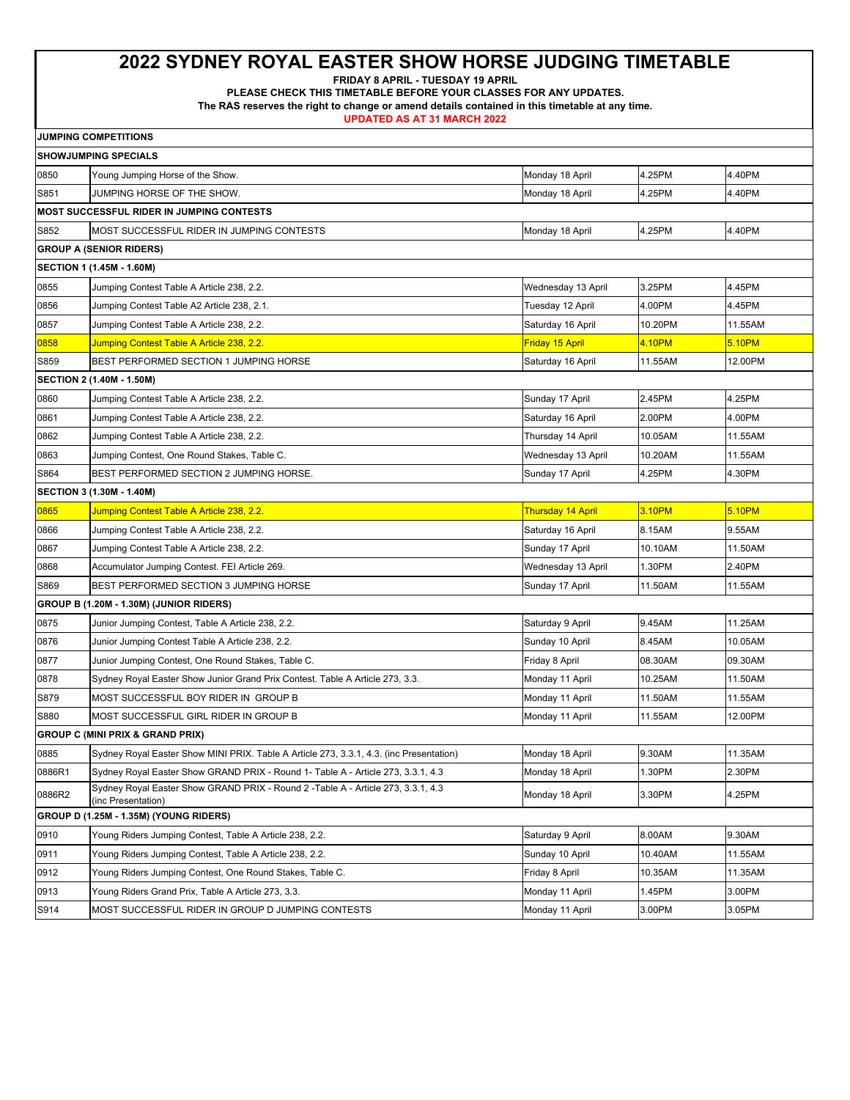**FRIDAY 8 APRIL - TUESDAY 19 APRIL** 

**PLEASE CHECK THIS TIMETABLE BEFORE YOUR CLASSES FOR ANY UPDATES.** 

**The RAS reserves the right to change or amend details contained in this timetable at any time.** 

| <b>JUMPING COMPETITIONS</b> |  |
|-----------------------------|--|
|-----------------------------|--|

| <b>SHOWJUMPING SPECIALS</b>                      |                                                                                                         |                          |         |         |  |  |  |
|--------------------------------------------------|---------------------------------------------------------------------------------------------------------|--------------------------|---------|---------|--|--|--|
| 0850                                             | Young Jumping Horse of the Show.                                                                        | Monday 18 April          | 4.25PM  | 4.40PM  |  |  |  |
| S851                                             | JUMPING HORSE OF THE SHOW.                                                                              | Monday 18 April          | 4.25PM  | 4.40PM  |  |  |  |
| <b>MOST SUCCESSFUL RIDER IN JUMPING CONTESTS</b> |                                                                                                         |                          |         |         |  |  |  |
| S852                                             | MOST SUCCESSFUL RIDER IN JUMPING CONTESTS                                                               | Monday 18 April          | 4.25PM  | 4.40PM  |  |  |  |
|                                                  | <b>GROUP A (SENIOR RIDERS)</b>                                                                          |                          |         |         |  |  |  |
| SECTION 1 (1.45M - 1.60M)                        |                                                                                                         |                          |         |         |  |  |  |
| 0855                                             | Jumping Contest Table A Article 238, 2.2.                                                               | Wednesday 13 April       | 3.25PM  | 4.45PM  |  |  |  |
| 0856                                             | Jumping Contest Table A2 Article 238, 2.1.                                                              | Tuesday 12 April         | 4.00PM  | 4.45PM  |  |  |  |
| 0857                                             | Jumping Contest Table A Article 238, 2.2.                                                               | Saturday 16 April        | 10.20PM | 11.55AM |  |  |  |
| 0858                                             | Jumping Contest Table A Article 238, 2.2.                                                               | Friday 15 April          | 4.10PM  | 5.10PM  |  |  |  |
| S859                                             | BEST PERFORMED SECTION 1 JUMPING HORSE                                                                  | Saturday 16 April        | 11.55AM | 12.00PM |  |  |  |
| SECTION 2 (1.40M - 1.50M)                        |                                                                                                         |                          |         |         |  |  |  |
| 0860                                             | Jumping Contest Table A Article 238, 2.2.                                                               | Sunday 17 April          | 2.45PM  | 4.25PM  |  |  |  |
| 0861                                             | Jumping Contest Table A Article 238, 2.2.                                                               | Saturday 16 April        | 2.00PM  | 4.00PM  |  |  |  |
| 0862                                             | Jumping Contest Table A Article 238, 2.2.                                                               | Thursday 14 April        | 10.05AM | 11.55AM |  |  |  |
| 0863                                             | Jumping Contest, One Round Stakes, Table C.                                                             | Wednesday 13 April       | 10.20AM | 11.55AM |  |  |  |
| S864                                             | BEST PERFORMED SECTION 2 JUMPING HORSE.                                                                 | Sunday 17 April          | 4.25PM  | 4.30PM  |  |  |  |
|                                                  | SECTION 3 (1.30M - 1.40M)                                                                               |                          |         |         |  |  |  |
| 0865                                             | <u>Jumping Contest Table A Article 238, 2.2.</u>                                                        | <u>Thursday 14 April</u> | 3.10PM  | 5.10PM  |  |  |  |
| 0866                                             | Jumping Contest Table A Article 238, 2.2.                                                               | Saturday 16 April        | 8.15AM  | 9.55AM  |  |  |  |
| 0867                                             | Jumping Contest Table A Article 238, 2.2.                                                               | Sunday 17 April          | 10.10AM | 11.50AM |  |  |  |
| 0868                                             | Accumulator Jumping Contest. FEI Article 269.                                                           | Wednesday 13 April       | 1.30PM  | 2.40PM  |  |  |  |
| S869                                             | BEST PERFORMED SECTION 3 JUMPING HORSE                                                                  | Sunday 17 April          | 11.50AM | 11.55AM |  |  |  |
| GROUP B (1.20M - 1.30M) (JUNIOR RIDERS)          |                                                                                                         |                          |         |         |  |  |  |
| 0875                                             | Junior Jumping Contest, Table A Article 238, 2.2.                                                       | Saturday 9 April         | 9.45AM  | 11.25AM |  |  |  |
| 0876                                             | Junior Jumping Contest Table A Article 238, 2.2.                                                        | Sunday 10 April          | 8.45AM  | 10.05AM |  |  |  |
| 0877                                             | Junior Jumping Contest, One Round Stakes, Table C.                                                      | Friday 8 April           | 08.30AM | 09.30AM |  |  |  |
| 0878                                             | Sydney Royal Easter Show Junior Grand Prix Contest. Table A Article 273, 3.3.                           | Monday 11 April          | 10.25AM | 11.50AM |  |  |  |
| S879                                             | MOST SUCCESSFUL BOY RIDER IN GROUP B                                                                    | Monday 11 April          | 11.50AM | 11.55AM |  |  |  |
| S880                                             | MOST SUCCESSFUL GIRL RIDER IN GROUP B                                                                   | Monday 11 April          | 11.55AM | 12.00PM |  |  |  |
| <b>GROUP C (MINI PRIX &amp; GRAND PRIX)</b>      |                                                                                                         |                          |         |         |  |  |  |
| 0885                                             | Sydney Royal Easter Show MINI PRIX. Table A Article 273, 3.3.1, 4.3. (inc Presentation)                 | Monday 18 April          | 9.30AM  | 11.35AM |  |  |  |
| 0886R1                                           | Sydney Royal Easter Show GRAND PRIX - Round 1- Table A - Article 273, 3.3.1, 4.3                        | Monday 18 April          | 1.30PM  | 2.30PM  |  |  |  |
| 0886R2                                           | Sydney Royal Easter Show GRAND PRIX - Round 2 - Table A - Article 273, 3.3.1, 4.3<br>(inc Presentation) | Monday 18 April          | 3.30PM  | 4.25PM  |  |  |  |
| GROUP D (1.25M - 1.35M) (YOUNG RIDERS)           |                                                                                                         |                          |         |         |  |  |  |
| 0910                                             | Young Riders Jumping Contest, Table A Article 238, 2.2.                                                 | Saturday 9 April         | 8.00AM  | 9.30AM  |  |  |  |
| 0911                                             | Young Riders Jumping Contest, Table A Article 238, 2.2.                                                 | Sunday 10 April          | 10.40AM | 11.55AM |  |  |  |
| 0912                                             | Young Riders Jumping Contest, One Round Stakes, Table C.                                                | Friday 8 April           | 10.35AM | 11.35AM |  |  |  |
| 0913                                             | Young Riders Grand Prix, Table A Article 273, 3.3.                                                      | Monday 11 April          | 1.45PM  | 3.00PM  |  |  |  |
| S914                                             | MOST SUCCESSFUL RIDER IN GROUP D JUMPING CONTESTS                                                       | Monday 11 April          | 3.00PM  | 3.05PM  |  |  |  |